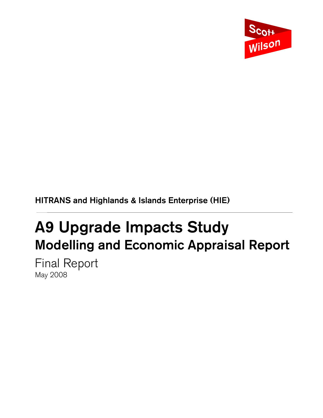

HITRANS and Highlands & Islands Enterprise (HIE)

## A9 Upgrade Impacts Study Modelling and Economic Appraisal Report

Final Report May 2008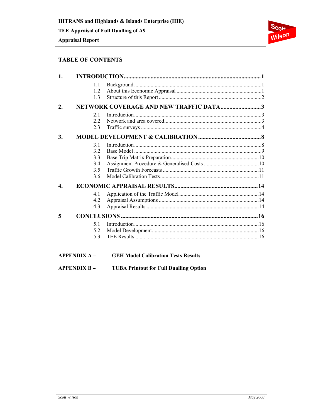## **Appraisal Report**



## **TABLE OF CONTENTS**

| 1.               |                                                      |                                        |  |
|------------------|------------------------------------------------------|----------------------------------------|--|
|                  | 1.1<br>12<br>1.3                                     |                                        |  |
| $\overline{2}$ . |                                                      | NETWORK COVERAGE AND NEW TRAFFIC DATA3 |  |
|                  | 21<br>22<br>2.3                                      |                                        |  |
| 3.               |                                                      |                                        |  |
| 4.               | 3.1<br>3.2<br>3.3<br>3.4<br>3.5<br>3.6<br>4.1<br>4.2 |                                        |  |
|                  | 4.3                                                  |                                        |  |
| 5                |                                                      |                                        |  |
|                  | 51<br>5.2<br>5.3                                     |                                        |  |

**APPENDIX A-GEH Model Calibration Tests Results** 

#### **APPENDIX B-TUBA Printout for Full Dualling Option**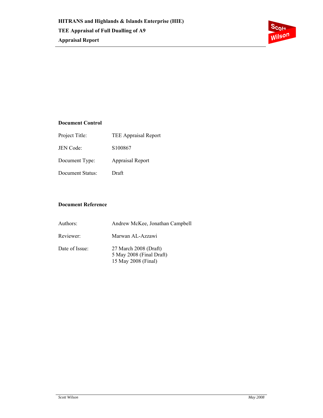

## **Document Control**

| Project Title:   | <b>TEE Appraisal Report</b> |
|------------------|-----------------------------|
| JEN Code:        | S <sub>100867</sub>         |
| Document Type:   | <b>Appraisal Report</b>     |
| Document Status: | Draft                       |

## **Document Reference**

| Authors:       | Andrew McKee, Jonathan Campbell                                          |
|----------------|--------------------------------------------------------------------------|
| Reviewer:      | Marwan AL-Azzawi                                                         |
| Date of Issue: | 27 March 2008 (Draft)<br>5 May 2008 (Final Draft)<br>15 May 2008 (Final) |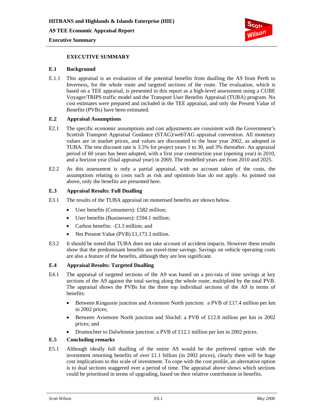**A9 TEE Economic Appraisal Report** 





## **EXECUTIVE SUMMARY**

#### **E.1 Background**

E.1.1 This appraisal is an evaluation of the potential benefits from dualling the A9 from Perth to Inverness, for the whole route and targeted sections of the route. The evaluation, which is based on a TEE appraisal, is presented in this report as a high-level assessment using a CUBE Voyager/TRIPS traffic model and the Transport User Benefits Appraisal (TUBA) program. No cost estimates were prepared and included in the TEE appraisal, and only the Present Value of Benefits (PVBs) have been estimated.

## **E.2 Appraisal Assumptions**

- E2.1 The specific economic assumptions and cost adjustments are consistent with the Government's Scottish Transport Appraisal Guidance (STAG)/webTAG appraisal convention. All monetary values are in market prices, and values are discounted to the base year 2002, as adopted in TUBA. The test discount rate is 3.5% for project years 1 to 30, and 3% thereafter. An appraisal period of 60 years has been adopted, with a first year construction year (opening year) in 2010, and a horizon year (final appraisal year) in 2069. The modelled years are from 2010 and 2025.
- E2.2 As this assessment is only a partial appraisal, with no account taken of the costs, the assumptions relating to costs such as risk and optimism bias do not apply. As pointed out above, only the benefits are presented here.

#### **E.3 Appraisal Results: Full Dualling**

- E3.1 The results of the TUBA appraisal on monetised benefits are shown below.
	- User benefits (Consumers): £582 million;
	- User benefits (Businesses): £594.1 million;
	- Carbon benefits: -£3.3 million; and
	- Net Present Value (PVB) £1,173.3 million.
- E3.2 It should be noted that TUBA does not take account of accident impacts. However these results show that the predominant benefits are travel-time savings. Savings on vehicle operating costs are also a feature of the benefits, although they are less significant.

## **E.4 Appraisal Results: Targeted Dualling**

- E4.1 The appraisal of targeted sections of the A9 was based on a pro-rata of time savings at key sections of the A9 against the total saving along the whole route, multiplied by the total PVB. The appraisal shows the PVBs for the three top individual sections of the A9 in terms of benefits:
	- Between Kingussie junction and Aviemore North junction: a PVB of £17.4 million per km in 2002 prices;
	- Between Aviemore North junction and Slochd: a PVB of £12.8 million per km in 2002 prices; and
	- Drumochter to Dalwhinnie junction: a PVB of £12.1 million per km in 2002 prices.

## **E.5 Concluding remarks**

E5.1 Although ideally full dualling of the entire A9 would be the preferred option with the investment returning benefits of over £1.1 billion (in 2002 prices), clearly there will be huge cost implications to this scale of investment. To cope with the cost profile, an alternative option is to dual sections staggered over a period of time. The appraisal above shows which sections could be prioritised in terms of upgrading, based on their relative contribution in benefits.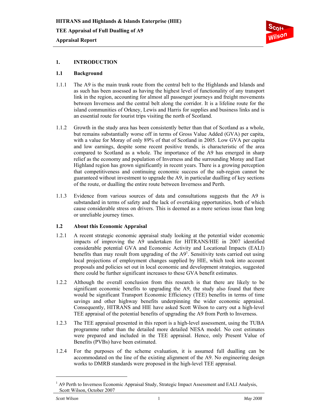

## **1. INTRODUCTION**

#### **1.1 Background**

- 1.1.1 The A9 is the main trunk route from the central belt to the Highlands and Islands and as such has been assessed as having the highest level of functionality of any transport link in the region, accounting for almost all passenger journeys and freight movements between Inverness and the central belt along the corridor. It is a lifeline route for the island communities of Orkney, Lewis and Harris for supplies and business links and is an essential route for tourist trips visiting the north of Scotland.
- 1.1.2 Growth in the study area has been consistently better than that of Scotland as a whole, but remains substantially worse off in terms of Gross Value Added (GVA) per capita, with a value for Moray of only 89% of that of Scotland in 2005. Low GVA per capita and low earnings, despite some recent positive trends, is characteristic of the area compared to Scotland as a whole. The importance of the A9 has emerged in sharp relief as the economy and population of Inverness and the surrounding Moray and East Highland region has grown significantly in recent years. There is a growing perception that competitiveness and continuing economic success of the sub-region cannot be guaranteed without investment to upgrade the A9, in particular dualling of key sections of the route, or dualling the entire route between Inverness and Perth.
- 1.1.3 Evidence from various sources of data and consultations suggests that the A9 is substandard in terms of safety and the lack of overtaking opportunities, both of which cause considerable stress on drivers. This is deemed as a more serious issue than long or unreliable journey times.

#### **1.2 About this Economic Appraisal**

- 1.2.1 A recent strategic economic appraisal study looking at the potential wider economic impacts of improving the A9 undertaken for HITRANS/HIE in 2007 identified considerable potential GVA and Economic Activity and Locational Impacts (EALI) benefits than may result from upgrading of the  $A9<sup>1</sup>$ . Sensitivity tests carried out using local projections of employment changes supplied by HIE, which took into account proposals and policies set out in local economic and development strategies, suggested there could be further significant increases to these GVA benefit estimates.
- 1.2.2 Although the overall conclusion from this research is that there are likely to be significant economic benefits to upgrading the A9, the study also found that there would be significant Transport Economic Efficiency (TEE) benefits in terms of time savings and other highway benefits underpinning the wider economic appraisal. Consequently, HITRANS and HIE have asked Scott Wilson to carry out a high-level TEE appraisal of the potential benefits of upgrading the A9 from Perth to Inverness.
- 1.2.3 The TEE appraisal presented in this report is a high-level assessment, using the TUBA programme rather than the detailed more detailed NESA model. No cost estimates were prepared and included in the TEE appraisal. Hence, only Present Value of Benefits (PVBs) have been estimated.
- 1.2.4 For the purposes of the scheme evaluation, it is assumed full dualling can be accommodated on the line of the existing alignment of the A9. No engineering design works to DMRB standards were proposed in the high-level TEE appraisal.

l

<sup>&</sup>lt;sup>1</sup> A9 Perth to Inverness Economic Appraisal Study, Strategic Impact Assessment and EALI Analysis, Scott Wilson, October 2007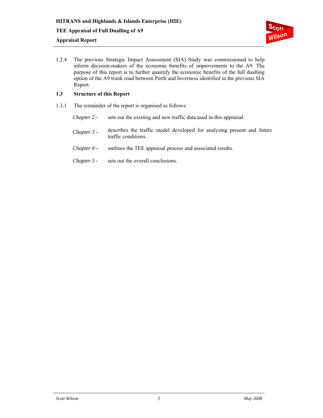

1.2.4 The previous Strategic Impact Assessment (SIA) Study was commissioned to help inform decision-makers of the economic benefits of improvements to the A9. The purpose of this report is to further quantify the economic benefits of the full dualling option of the A9 trunk road between Perth and Inverness identified in the previous SIA Report.

## **1.3 Structure of this Report**

- 1.3.1 The remainder of the report is organised as follows:
	- *Chapter 2* sets out the existing and new traffic data used in this appraisal.
	- *Chapter 3* describes the traffic model developed for analysing present and future traffic conditions.
	- *Chapter 4* outlines the TEE appraisal process and associated results.
	- *Chapter 5 -* sets out the overall conclusions.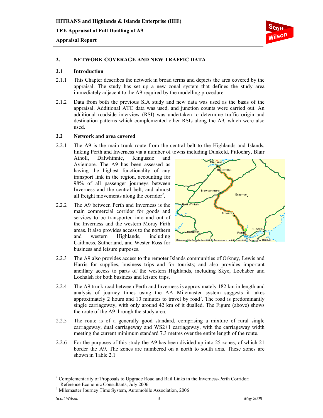

### **2. NETWORK COVERAGE AND NEW TRAFFIC DATA**

#### **2.1 Introduction**

- 2.1.1 This Chapter describes the network in broad terms and depicts the area covered by the appraisal. The study has set up a new zonal system that defines the study area immediately adjacent to the A9 required by the modelling procedure.
- 2.1.2 Data from both the previous SIA study and new data was used as the basis of the appraisal. Additional ATC data was used, and junction counts were carried out. An additional roadside interview (RSI) was undertaken to determine traffic origin and destination patterns which complemented other RSIs along the A9, which were also used.

## **2.2 Network and area covered**

2.2.1 The A9 is the main trunk route from the central belt to the Highlands and Islands, linking Perth and Inverness via a number of towns including Dunkeld, Pitlochry, Blair

Atholl, Dalwhinnie, Kingussie and Aviemore. The A9 has been assessed as having the highest functionality of any transport link in the region, accounting for 98% of all passenger journeys between Inverness and the central belt, and almost all freight movements along the corridor<sup>2</sup>.

2.2.2 The A9 between Perth and Inverness is the main commercial corridor for goods and services to be transported into and out of the Inverness and the western Moray Firth areas. It also provides access to the northern and western Highlands, including Caithness, Sutherland, and Wester Ross for business and leisure purposes.



- 2.2.3 The A9 also provides access to the remoter Islands communities of Orkney, Lewis and Harris for supplies, business trips and for tourists; and also provides important ancillary access to parts of the western Highlands, including Skye, Lochaber and Lochalsh for both business and leisure trips.
- 2.2.4 The A9 trunk road between Perth and Inverness is approximately 182 km in length and analysis of journey times using the AA Milemaster system suggests it takes approximately 2 hours and 10 minutes to travel by road<sup>3</sup>. The road is predominantly single carriageway, with only around 42 km of it dualled. The Figure (above) shows the route of the A9 through the study area.
- 2.2.5 The route is of a generally good standard, comprising a mixture of rural single carriageway, dual carriageway and WS2+1 carriageway, with the carriageway width meeting the current minimum standard 7.3 metres over the entire length of the route.
- 2.2.6 For the purposes of this study the A9 has been divided up into 25 zones, of which 21 border the A9. The zones are numbered on a north to south axis. These zones are shown in Table 2.1

l

 $2^2$  Complementarity of Proposals to Upgrade Road and Rail Links in the Inverness-Perth Corridor: Reference Economic Consultants, July 2006

<sup>&</sup>lt;sup>3</sup> Milemaster Journey Time System, Automobile Association, 2006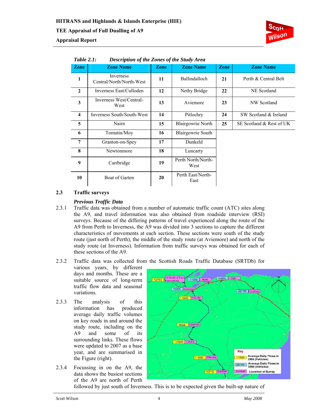

|                         | 1 UVIC 2.1.<br>Description of the Lones of the Blutty Area |             |                            |      |                          |  |  |  |  |  |  |
|-------------------------|------------------------------------------------------------|-------------|----------------------------|------|--------------------------|--|--|--|--|--|--|
| <b>Zone</b>             | <b>Zone Name</b>                                           | <b>Zone</b> | <b>Zone Name</b>           | Zone | <b>Zone Name</b>         |  |  |  |  |  |  |
| 1                       | Inverness<br>Central/North/North-West                      | 11          | Ballindalloch              | 21   | Perth & Central Belt     |  |  |  |  |  |  |
| $\overline{2}$          | Inverness East/Culloden                                    | 12          | Nethy Bridge               | 22   | NE Scotland              |  |  |  |  |  |  |
| 3                       | Inverness West/Central-<br>West                            | 13          | Aviemore                   | 23   | NW Scotland              |  |  |  |  |  |  |
| $\overline{\mathbf{4}}$ | Inverness South/South-West                                 | 14          | Pitlochry                  | 24   | SW Scotland & Ireland    |  |  |  |  |  |  |
| 5                       | Nairn                                                      | 15          | <b>Blairgowrie North</b>   | 25   | SE Scotland & Rest of UK |  |  |  |  |  |  |
| 6                       | Tomatin/Moy                                                | 16          | Blairgowrie South          |      |                          |  |  |  |  |  |  |
| 7                       | Granton-on-Spey                                            | 17          | Dunkeld                    |      |                          |  |  |  |  |  |  |
| 8                       | Newtonmore                                                 | 18          | Luncarty                   |      |                          |  |  |  |  |  |  |
| 9                       | Carrbridge                                                 | 19          | Perth North/North-<br>West |      |                          |  |  |  |  |  |  |
| 10                      | <b>Boat of Garten</b>                                      | 20          | Perth East/North-<br>East  |      |                          |  |  |  |  |  |  |

## *Table 2.1: Description of the Zones of the Study Area*

#### **2.3 Traffic surveys**

**Appraisal Report** 

#### *Previous Traffic Data*

- 2.3.1 Traffic data was obtained from a number of automatic traffic count (ATC) sites along the A9, and travel information was also obtained from roadside interview (RSI) surveys. Because of the differing patterns of travel experienced along the route of the A9 from Perth to Inverness, the A9 was divided into 3 sections to capture the different characteristics of movements at each section. These sections were south of the study route (just north of Perth), the middle of the study route (at Aviemore) and north of the study route (at Inverness). Information from traffic surveys was obtained for each of these sections of the A9.
- 2.3.2 Traffic data was collected from the Scottish Roads Traffic Database (SRTDb) for

various years, by different days and months. These are a suitable source of long-term traffic flow data and seasonal variations.

- 2.3.3 The analysis of this information has produced average daily traffic volumes on key roads in and around the study route, including on the A9 and some of its surrounding links. These flows were updated to 2007 as a base year, and are summarised in the Figure (right).
- 2.3.4 Focussing in on the A9, the data shows the busiest sections of the A9 are north of Perth



followed by just south of Inverness. This is to be expected given the built-up nature of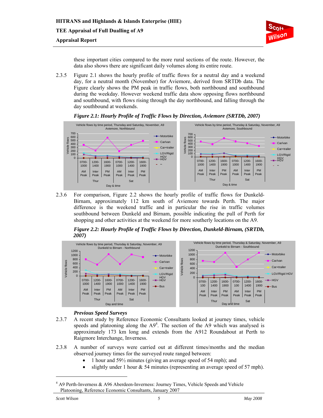

these important cities compared to the more rural sections of the route. However, the data also shows there are significant daily volumes along its entire route.

2.3.5 Figure 2.1 shows the hourly profile of traffic flows for a neutral day and a weekend day, for a neutral month (November) for Aviemore, derived from SRTDb data. The Figure clearly shows the PM peak in traffic flows, both northbound and southbound during the weekday. However weekend traffic data show opposing flows northbound and southbound, with flows rising through the day northbound, and falling through the day southbound at weekends.



## *Figure 2.1: Hourly Profile of Traffic Flows by Direction, Aviemore (SRTDb, 2007)*

2.3.6 For comparison, Figure 2.2 shows the hourly profile of traffic flows for Dunkeld-Birnam, approximately 112 km south of Aviemore towards Perth. The major difference is the weekend traffic and in particular the rise in traffic volumes southbound between Dunkeld and Birnam, possible indicating the pull of Perth for shopping and other activities at the weekend for more southerly locations on the A9.

*Figure 2.2: Hourly Profile of Traffic Flows by Direction, Dunkeld-Birnam, (SRTDb, 2007)* 



#### *Previous Speed Surveys*

- 2.3.7 A recent study by Reference Economic Consultants looked at journey times, vehicle speeds and platooning along the  $A9<sup>4</sup>$ . The section of the A9 which was analysed is approximately 173 km long and extends from the A912 Roundabout at Perth to Raigmore Interchange, Inverness.
- 2.3.8 A number of surveys were carried out at different times/months and the median observed journey times for the surveyed route ranged between:
	- 1 hour and  $59\frac{1}{2}$  minutes (giving an average speed of 54 mph); and
	- slightly under 1 hour  $& 54$  minutes (representing an average speed of 57 mph).

l

<sup>&</sup>lt;sup>4</sup> A9 Perth-Inverness & A96 Aberdeen-Inverness: Journey Times, Vehicle Speeds and Vehicle Platooning, Reference Economic Consultants, January 2007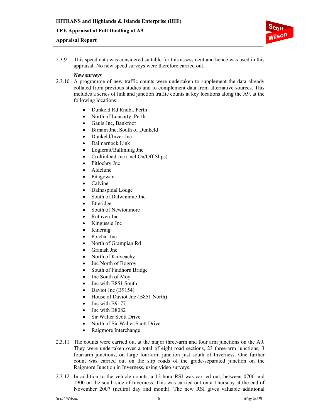## **Appraisal Report**



2.3.9 This speed data was considered suitable for this assessment and hence was used in this appraisal. No new speed surveys were therefore carried out.

#### *New surveys*

- 2.3.10 A programme of new traffic counts were undertaken to supplement the data already collated from previous studies and to complement data from alternative sources. This includes a series of link and junction traffic counts at key locations along the A9, at the following locations:
	- Dunkeld Rd Rndbt, Perth
	- North of Luncarty, Perth
	- Gauls Jnc, Bankfoot
	- Birnam Jnc, South of Dunkeld
	- Dunkeld/Inver Jnc
	- Dalmarnock Link
	- Logierait/Ballinluig Jnc
	- Croltinload Jnc (incl On/Off Slips)
	- Pitlochry Jnc
	- Aldclune
	- Pitagowan
	- Calvine
	- Dalnaspidal Lodge
	- South of Dalwhinnie Jnc
	- Etteridge
	- South of Newtonmore
	- Ruthven Jnc
	- Kingussie Jnc
	- Kincraig
	- Polchar Jnc
	- North of Grampian Rd
	- Granish Jnc
	- North of Kinveachy
	- Jnc North of Bogroy
	- South of Findhorn Bridge
	- Jnc South of Moy
	- Jnc with B851 South
	- Daviot Jnc (B9154)
	- House of Daviot Jnc (B851 North)
	- Jnc with B9177
	- Jnc with B8082
	- Sir Walter Scott Drive
	- North of Sir Walter Scott Drive
	- Raigmore Interchange
- 2.3.11 The counts were carried out at the major three-arm and four arm junctions on the A9. They were undertaken over a total of eight road sections, 23 three-arm junctions, 3 four-arm junctions, on large four-arm junction just south of Inverness. One further count was carried out on the slip roads of the grade-separated junction on the Raigmore Junction in Inverness, using video surveys.
- 2.3.12 In addition to the vehicle counts, a 12-hour RSI was carried out, between 0700 and 1900 on the south side of Inverness. This was carried out on a Thursday at the end of November 2007 (neutral day and month). The new RSI gives valuable additional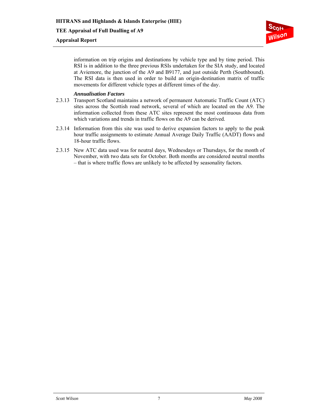## **Appraisal Report**



information on trip origins and destinations by vehicle type and by time period. This RSI is in addition to the three previous RSIs undertaken for the SIA study, and located at Aviemore, the junction of the A9 and B9177, and just outside Perth (Southbound). The RSI data is then used in order to build an origin-destination matrix of traffic movements for different vehicle types at different times of the day.

#### *Annualisation Factors*

- 2.3.13 Transport Scotland maintains a network of permanent Automatic Traffic Count (ATC) sites across the Scottish road network, several of which are located on the A9. The information collected from these ATC sites represent the most continuous data from which variations and trends in traffic flows on the A9 can be derived.
- 2.3.14 Information from this site was used to derive expansion factors to apply to the peak hour traffic assignments to estimate Annual Average Daily Traffic (AADT) flows and 18-hour traffic flows.
- 2.3.15 New ATC data used was for neutral days, Wednesdays or Thursdays, for the month of November, with two data sets for October. Both months are considered neutral months – that is where traffic flows are unlikely to be affected by seasonality factors.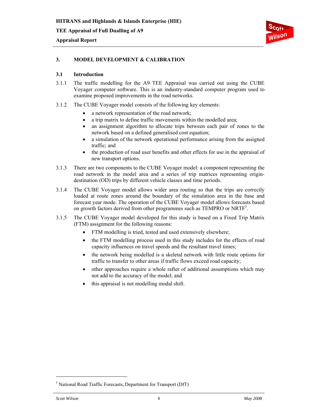

## **3. MODEL DEVELOPMENT & CALIBRATION**

#### **3.1 Introduction**

- 3.1.1 The traffic modelling for the A9 TEE Appraisal was carried out using the CUBE Voyager computer software. This is an industry-standard computer program used to examine proposed improvements in the road networks.
- 3.1.2 The CUBE Voyager model consists of the following key elements:
	- a network representation of the road network;
	- a trip matrix to define traffic movements within the modelled area;
	- an assignment algorithm to allocate trips between each pair of zones to the network based on a defined generalised cost equation;
	- a simulation of the network operational performance arising from the assigned traffic; and
	- the production of road user benefits and other effects for use in the appraisal of new transport options.
- 3.1.3 There are two components to the CUBE Voyager model: a component representing the road network in the model area and a series of trip matrices representing origindestination (OD) trips by different vehicle classes and time periods.
- 3.1.4 The CUBE Voyager model allows wider area routing so that the trips are correctly loaded at route zones around the boundary of the simulation area in the base and forecast year mode. The operation of the CUBE Voyager model allows forecasts based on growth factors derived from other programmes such as TEMPRO or NRTF<sup>5</sup>.
- 3.1.5 The CUBE Voyager model developed for this study is based on a Fixed Trip Matrix (FTM) assignment for the following reasons:
	- FTM modelling is tried, tested and used extensively elsewhere;
	- the FTM modelling process used in this study includes for the effects of road capacity influences on travel speeds and the resultant travel times;
	- the network being modelled is a skeletal network with little route options for traffic to transfer to other areas if traffic flows exceed road capacity;
	- other approaches require a whole rafter of additional assumptions which may not add to the accuracy of the model; and
	- this appraisal is not modelling modal shift.

l

<sup>5</sup> National Road Traffic Forecasts, Department for Transport (DfT)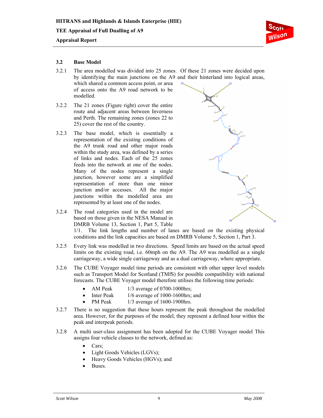

#### **3.2 Base Model**

3.2.1 The area modelled was divided into 25 zones. Of these 21 zones were decided upon by identifying the main junctions on the A9 and their hinterland into logical areas, which shared a common access point, or area

of access onto the A9 road network to be modelled.

- 3.2.2 The 21 zones (Figure right) cover the entire route and adjacent areas between Inverness and Perth. The remaining zones (zones 22 to 25) cover the rest of the country.
- 3.2.3 The base model, which is essentially a representation of the existing conditions of the A9 trunk road and other major roads within the study area, was defined by a series of links and nodes. Each of the 25 zones feeds into the network at one of the nodes. Many of the nodes represent a single junction, however some are a simplified representation of more than one minor junction and/or accesses. All the major junctions within the modelled area are represented by at least one of the nodes.



3.2.4 The road categories used in the model are based on those given in the NESA Manual in DMRB Volume 13, Section 1, Part 5, Table

1/1. The link lengths and number of lanes are based on the existing physical conditions and the link capacities are based on DMRB Volume 5, Section 1, Part 3.

- 3.2.5 Every link was modelled in two directions. Speed limits are based on the actual speed limits on the existing road, i.e. 60mph on the A9. The A9 was modelled as a single carriageway, a wide single carriageway and as a dual carriageway, where appropriate.
- 3.2.6 The CUBE Voyager model time periods are consistent with other upper level models such as Transport Model for Scotland (TMfS) for possible compatibility with national forecasts. The CUBE Voyager model therefore utilises the following time periods:
	- AM Peak  $1/3$  average of 0700-1000 hrs;
		- Inter Peak 1/6 average of 1000-1600hrs; and
	- PM Peak  $1/3$  average of 1600-1900hrs.
- 3.2.7 There is no suggestion that these hours represent the peak throughout the modelled area. However, for the purposes of the model, they represent a defined hour within the peak and interpeak periods.
- 3.2.8 A multi user-class assignment has been adopted for the CUBE Voyager model This assigns four vehicle classes to the network, defined as:
	- Cars;
	- Light Goods Vehicles (LGVs);
	- Heavy Goods Vehicles (HGVs); and
	- Buses.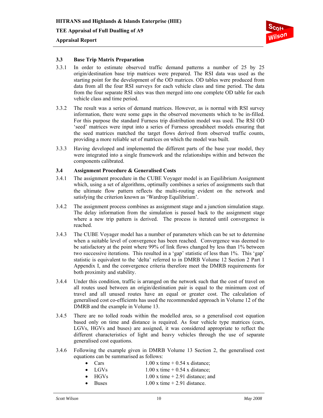

## **3.3 Base Trip Matrix Preparation**

- 3.3.1 In order to estimate observed traffic demand patterns a number of 25 by 25 origin/destination base trip matrices were prepared. The RSI data was used as the starting point for the development of the OD matrices. OD tables were produced from data from all the four RSI surveys for each vehicle class and time period. The data from the four separate RSI sites was then merged into one complete OD table for each vehicle class and time period.
- 3.3.2 The result was a series of demand matrices. However, as is normal with RSI survey information, there were some gaps in the observed movements which to be in-filled. For this purpose the standard Furness trip distribution model was used. The RSI OD 'seed' matrices were input into a series of Furness spreadsheet models ensuring that the seed matrices matched the target flows derived from observed traffic counts, providing a more reliable set of matrices on which the model was built.
- 3.3.3 Having developed and implemented the different parts of the base year model, they were integrated into a single framework and the relationships within and between the components calibrated.

#### **3.4 Assignment Procedure & Generalised Costs**

- 3.4.1 The assignment procedure in the CUBE Voyager model is an Equilibrium Assignment which, using a set of algorithms, optimally combines a series of assignments such that the ultimate flow pattern reflects the multi-routing evident on the network and satisfying the criterion known as 'Wardrop Equilibrium'.
- 3.4.2 The assignment process combines as assignment stage and a junction simulation stage. The delay information from the simulation is passed back to the assignment stage where a new trip pattern is derived. The process is iterated until convergence is reached.
- 3.4.3 The CUBE Voyager model has a number of parameters which can be set to determine when a suitable level of convergence has been reached. Convergence was deemed to be satisfactory at the point where 99% of link flows changed by less than 1% between two successive iterations. This resulted in a 'gap' statistic of less than 1%. This 'gap' statistic is equivalent to the 'delta' referred to in DMRB Volume 12 Section 2 Part 1 Appendix I, and the convergence criteria therefore meet the DMRB requirements for both proximity and stability.
- 3.4.4 Under this condition, traffic is arranged on the network such that the cost of travel on all routes used between an origin/destination pair is equal to the minimum cost of travel and all unused routes have an equal or greater cost. The calculation of generalised cost co-efficients has used the recommended approach in Volume 12 of the DMRB and the example in Volume 13.
- 3.4.5 There are no tolled roads within the modelled area, so a generalised cost equation based only on time and distance is required. As four vehicle type matrices (cars, LGVs, HGVs and buses) are assigned, it was considered appropriate to reflect the different characteristics of light and heavy vehicles through the use of separate generalised cost equations.
- 3.4.6 Following the example given in DMRB Volume 13 Section 2, the generalised cost equations can be summarised as follows:
	- Cars  $1.00 \times \text{time} + 0.54 \times \text{distance}$ ;
		- LGVs  $1.00 \times \text{time} + 0.54 \times \text{distance}$ ;
	- $HGVs$  1.00 x time  $+ 2.91$  distance; and
	- Buses  $1.00 \times \text{time} + 2.91 \text{ distance.}$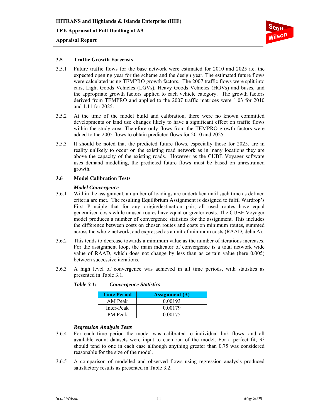

#### **3.5 Traffic Growth Forecasts**

- 3.5.1 Future traffic flows for the base network were estimated for 2010 and 2025 i.e. the expected opening year for the scheme and the design year. The estimated future flows were calculated using TEMPRO growth factors. The 2007 traffic flows were split into cars, Light Goods Vehicles (LGVs), Heavy Goods Vehicles (HGVs) and buses, and the appropriate growth factors applied to each vehicle category. The growth factors derived from TEMPRO and applied to the 2007 traffic matrices were 1.03 for 2010 and 1.11 for 2025.
- 3.5.2 At the time of the model build and calibration, there were no known committed developments or land use changes likely to have a significant effect on traffic flows within the study area. Therefore only flows from the TEMPRO growth factors were added to the 2005 flows to obtain predicted flows for 2010 and 2025.
- 3.5.3 It should be noted that the predicted future flows, especially those for 2025, are in reality unlikely to occur on the existing road network as in many locations they are above the capacity of the existing roads. However as the CUBE Voyager software uses demand modelling, the predicted future flows must be based on unrestrained growth.

#### **3.6 Model Calibration Tests**

#### *Model Convergence*

- 3.6.1 Within the assignment, a number of loadings are undertaken until such time as defined criteria are met. The resulting Equilibrium Assignment is designed to fulfil Wardrop's First Principle that for any origin/destination pair, all used routes have equal generalised costs while unused routes have equal or greater costs. The CUBE Voyager model produces a number of convergence statistics for the assignment. This includes the difference between costs on chosen routes and costs on minimum routes, summed across the whole network, and expressed as a unit of minimum costs (RAAD, delta  $\Delta$ ).
- 3.6.2 This tends to decrease towards a minimum value as the number of iterations increases. For the assignment loop, the main indicator of convergence is a total network wide value of RAAD, which does not change by less than as certain value (here 0.005) between successive iterations.
- 3.6.3 A high level of convergence was achieved in all time periods, with statistics as presented in Table 3.1.

| <b>Time Period</b> | Assignment ( $\Delta$ ) |
|--------------------|-------------------------|
| AM Peak            | 0.00193                 |
| Inter-Peak         | 0.00179                 |
| <b>PM</b> Peak     | 0.00175                 |

 *Table 3.1: Convergence Statistics* 

#### *Regression Analysis Tests*

- 3.6.4 For each time period the model was calibrated to individual link flows, and all available count datasets were input to each run of the model. For a perfect fit,  $\mathbb{R}^2$ should tend to one in each case although anything greater than 0.75 was considered reasonable for the size of the model.
- 3.6.5 A comparison of modelled and observed flows using regression analysis produced satisfactory results as presented in Table 3.2.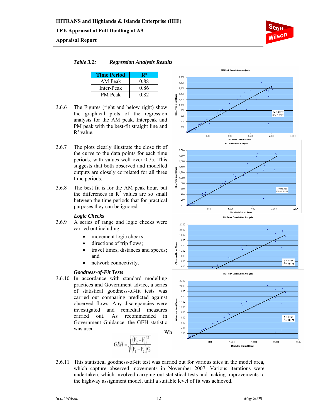## **Appraisal Report**



### *Table 3.2: Regression Analysis Results*

| <b>Time Period</b> | R2   |
|--------------------|------|
| AM Peak            | 0.88 |
| Inter-Peak         | 0.86 |
| <b>PM</b> Peak     | 0.82 |

- 3.6.6 The Figures (right and below right) show the graphical plots of the regression analysis for the AM peak, Interpeak and PM peak with the best-fit straight line and  $R^2$  value.
- 3.6.7 The plots clearly illustrate the close fit of the curve to the data points for each time periods, with values well over 0.75. This suggests that both observed and modelled outputs are closely correlated for all three time periods.
- 3.6.8 The best fit is for the AM peak hour, but the differences in  $R^2$  values are so small between the time periods that for practical purposes they can be ignored.

## *Logic Checks*

- 3.6.9 A series of range and logic checks were carried out including:
	- movement logic checks;
	- directions of trip flows;
	- travel times, distances and speeds; and
	- network connectivity.

## *Goodness-of-Fit Tests*

Wh 3.6.10 In accordance with standard modelling practices and Government advice, a series of statistical goodness-of-fit tests was carried out comparing predicted against observed flows. Any discrepancies were investigated and remedial measures carried out. As recommended in Government Guidance, the GEH statistic was used:











3.6.11 This statistical goodness-of-fit test was carried out for various sites in the model area, which capture observed movements in November 2007. Various iterations were undertaken, which involved carrying out statistical tests and making improvements to the highway assignment model, until a suitable level of fit was achieved.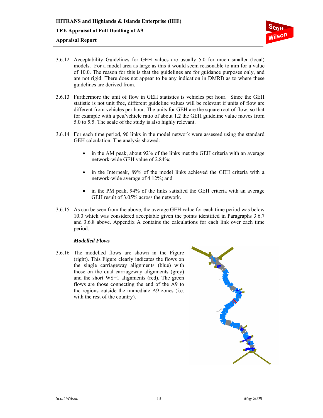

- 3.6.12 Acceptability Guidelines for GEH values are usually 5.0 for much smaller (local) models. For a model area as large as this it would seem reasonable to aim for a value of 10.0. The reason for this is that the guidelines are for guidance purposes only, and are not rigid. There does not appear to be any indication in DMRB as to where these guidelines are derived from.
- 3.6.13 Furthermore the unit of flow in GEH statistics is vehicles per hour. Since the GEH statistic is not unit free, different guideline values will be relevant if units of flow are different from vehicles per hour. The units for GEH are the square root of flow, so that for example with a pcu/vehicle ratio of about 1.2 the GEH guideline value moves from 5.0 to 5.5. The scale of the study is also highly relevant.
- 3.6.14 For each time period, 90 links in the model network were assessed using the standard GEH calculation. The analysis showed:
	- in the AM peak, about 92% of the links met the GEH criteria with an average network-wide GEH value of 2.84%;
	- in the Interpeak, 89% of the model links achieved the GEH criteria with a network-wide average of 4.12%; and
	- in the PM peak, 94% of the links satisfied the GEH criteria with an average GEH result of 3.05% across the network.
- 3.6.15 As can be seen from the above, the average GEH value for each time period was below 10.0 which was considered acceptable given the points identified in Paragraphs 3.6.7 and 3.6.8 above. Appendix A contains the calculations for each link over each time period.

## *Modelled Flows*

3.6.16 The modelled flows are shown in the Figure (right). This Figure clearly indicates the flows on the single carriageway alignments (blue) with those on the dual carriageway alignments (grey) and the short WS+1 alignments (red). The green flows are those connecting the end of the A9 to the regions outside the immediate A9 zones (i.e. with the rest of the country).

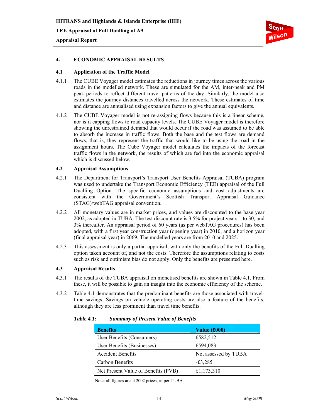

#### **4. ECONOMIC APPRAISAL RESULTS**

#### **4.1 Application of the Traffic Model**

- 4.1.1 The CUBE Voyager model estimates the reductions in journey times across the various roads in the modelled network. These are simulated for the AM, inter-peak and PM peak periods to reflect different travel patterns of the day. Similarly, the model also estimates the journey distances travelled across the network. These estimates of time and distance are annualised using expansion factors to give the annual equivalents.
- 4.1.2 The CUBE Voyager model is not re-assigning flows because this is a linear scheme, nor is it capping flows to road capacity levels. The CUBE Voyager model is therefore showing the unrestrained demand that would occur if the road was assumed to be able to absorb the increase in traffic flows. Both the base and the test flows are demand flows, that is, they represent the traffic that would like to be using the road in the assignment hours. The Cube Voyager model calculates the impacts of the forecast traffic flows in the network, the results of which are fed into the economic appraisal which is discussed below.

#### **4.2 Appraisal Assumptions**

- 4.2.1 The Department for Transport's Transport User Benefits Appraisal (TUBA) program was used to undertake the Transport Economic Efficiency (TEE) appraisal of the Full Dualling Option. The specific economic assumptions and cost adjustments are consistent with the Government's Scottish Transport Appraisal Guidance (STAG)/webTAG appraisal convention.
- 4.2.2 All monetary values are in market prices, and values are discounted to the base year 2002, as adopted in TUBA. The test discount rate is 3.5% for project years 1 to 30, and 3% thereafter. An appraisal period of 60 years (as per webTAG procedures) has been adopted, with a first year construction year (opening year) in 2010, and a horizon year (final appraisal year) in 2069. The modelled years are from 2010 and 2025.
- 4.2.3 This assessment is only a partial appraisal, with only the benefits of the Full Dualling option taken account of, and not the costs. Therefore the assumptions relating to costs such as risk and optimism bias do not apply. Only the benefits are presented here.

#### **4.3 Appraisal Results**

- 4.3.1 The results of the TUBA appraisal on monetised benefits are shown in Table 4.1. From these, it will be possible to gain an insight into the economic efficiency of the scheme.
- 4.3.2 Table 4.1 demonstrates that the predominant benefits are those associated with traveltime savings. Savings on vehicle operating costs are also a feature of the benefits, although they are less prominent than travel time benefits.

| <b>Benefits</b>                     | Value (£000)         |
|-------------------------------------|----------------------|
| User Benefits (Consumers)           | £582,512             |
| User Benefits (Businesses)          | £594,083             |
| <b>Accident Benefits</b>            | Not assessed by TUBA |
| Carbon Benefits                     | $-£3,285$            |
| Net Present Value of Benefits (PVB) | £1,173,310           |

*Table 4.1: Summary of Present Value of Benefits* 

Note: all figures are at 2002 prices, as per TUBA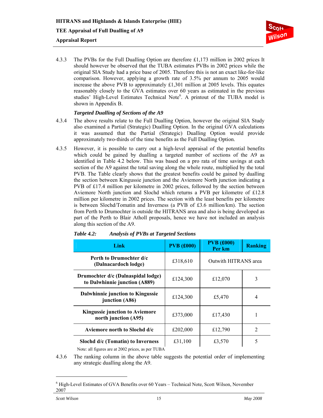

4.3.3 The PVBs for the Full Dualling Option are therefore £1,173 million in 2002 prices It should however be observed that the TUBA estimates PVBs in 2002 prices while the original SIA Study had a price base of 2005. Therefore this is not an exact like-for-like comparison. However, applying a growth rate of 3.5% per annum to 2005 would increase the above PVB to approximately £1,301 million at 2005 levels. This equates reasonably closely to the GVA estimates over 60 years as estimated in the previous studies' High-Level Estimates Technical Note<sup>6</sup>. A printout of the TUBA model is shown in Appendix B.

#### *Targeted Dualling of Sections of the A9*

- 4.3.4 The above results relate to the Full Dualling Option, however the original SIA Study also examined a Partial (Strategic) Dualling Option. In the original GVA calculations it was assumed that the Partial (Strategic) Dualling Option would provide approximately two-thirds of the time benefits as the Full Dualling Option.
- 4.3.5 However, it is possible to carry out a high-level appraisal of the potential benefits which could be gained by dualling a targeted number of sections of the A9 as identified in Table 4.2 below. This was based on a pro rata of time savings at each section of the A9 against the total saving along the whole route, multiplied by the total PVB. The Table clearly shows that the greatest benefits could be gained by dualling the section between Kingussie junction and the Aviemore North junction indicating a PVB of £17.4 million per kilometre in 2002 prices, followed by the section between Aviemore North junction and Slochd which returns a PVB per kilometre of £12.8 million per kilometre in 2002 prices. The section with the least benefits per kilometre is between Slochd/Tomatin and Inverness (a PVB of £3.6 million/km). The section from Perth to Drumochter is outside the HITRANS area and also is being developed as part of the Perth to Blair Atholl proposals, hence we have not included an analysis along this section of the A9.

| Link                                                                                | <b>PVB</b> (£000) | <b>PVB</b> (£000)<br>Per km | <b>Ranking</b> |  |
|-------------------------------------------------------------------------------------|-------------------|-----------------------------|----------------|--|
| Perth to Drumochter d/c<br>(Dalnacardoch lodge)                                     | £318,610          | Outwith HITRANS area        |                |  |
| Drumochter d/c (Dalnaspidal lodge)<br>to Dalwhinnie junction (A889)                 | £124,300          | £12,070                     | 3              |  |
| Dalwhinnie junction to Kingussie<br>junction (A86)                                  | £124,300          | £5,470                      | 4              |  |
| <b>Kingussie junction to Aviemore</b><br>north junction (A95)                       | £373,000          | £17,430                     | 1              |  |
| Aviemore north to Slochd d/c                                                        | £202,000          | £12,790                     | 2              |  |
| Slochd d/c (Tomatin) to Inverness<br>Material Course are at 2002 milese as non TUDA | £31,100           | £3,570                      | 5              |  |

| <b>Table 4.2:</b> | <b>Analysis of PVBs at Targeted Sections</b> |
|-------------------|----------------------------------------------|
|                   |                                              |

Note: all figures are at 2002 prices, as per TUBA

4.3.6 The ranking column in the above table suggests the potential order of implementing any strategic dualling along the A9.

l

<sup>&</sup>lt;sup>6</sup> High-Level Estimates of GVA Benefits over 60 Years – Technical Note, Scott Wilson, November 2007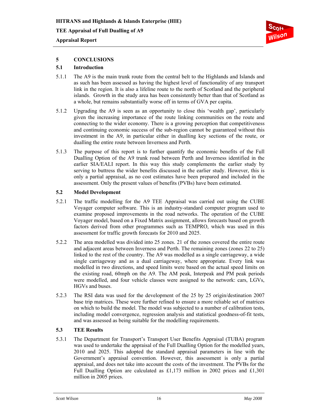### **Appraisal Report**

## **5 CONCLUSIONS**

### **5.1 Introduction**

- 5.1.1 The A9 is the main trunk route from the central belt to the Highlands and Islands and as such has been assessed as having the highest level of functionality of any transport link in the region. It is also a lifeline route to the north of Scotland and the peripheral islands. Growth in the study area has been consistently better than that of Scotland as a whole, but remains substantially worse off in terms of GVA per capita.
- 5.1.2 Upgrading the A9 is seen as an opportunity to close this 'wealth gap', particularly given the increasing importance of the route linking communities on the route and connecting to the wider economy. There is a growing perception that competitiveness and continuing economic success of the sub-region cannot be guaranteed without this investment in the A9, in particular either in dualling key sections of the route, or dualling the entire route between Inverness and Perth.
- 5.1.3 The purpose of this report is to further quantify the economic benefits of the Full Dualling Option of the A9 trunk road between Perth and Inverness identified in the earlier SIA/EALI report. In this way this study complements the earlier study by serving to buttress the wider benefits discussed in the earlier study. However, this is only a partial appraisal, as no cost estimates have been prepared and included in the assessment. Only the present values of benefits (PVBs) have been estimated.

#### **5.2 Model Development**

- 5.2.1 The traffic modelling for the A9 TEE Appraisal was carried out using the CUBE Voyager computer software. This is an industry-standard computer program used to examine proposed improvements in the road networks. The operation of the CUBE Voyager model, based on a Fixed Matrix assignment, allows forecasts based on growth factors derived from other programmes such as TEMPRO, which was used in this assessment for traffic growth forecasts for 2010 and 2025.
- 5.2.2 The area modelled was divided into 25 zones. 21 of the zones covered the entire route and adjacent areas between Inverness and Perth. The remaining zones (zones 22 to 25) linked to the rest of the country. The A9 was modelled as a single carriageway, a wide single carriageway and as a dual carriageway, where appropriate. Every link was modelled in two directions, and speed limits were based on the actual speed limits on the existing road, 60mph on the A9. The AM peak, Interpeak and PM peak periods were modelled, and four vehicle classes were assigned to the network: cars, LGVs, HGVs and buses.
- 5.2.3 The RSI data was used for the development of the 25 by 25 origin/destination 2007 base trip matrices. These were further refined to ensure a more reliable set of matrices on which to build the model. The model was subjected to a number of calibration tests, including model convergence, regression analysis and statistical goodness-of-fit tests, and was assessed as being suitable for the modelling requirements.

## **5.3 TEE Results**

5.3.1 The Department for Transport's Transport User Benefits Appraisal (TUBA) program was used to undertake the appraisal of the Full Dualling Option for the modelled years, 2010 and 2025. This adopted the standard appraisal parameters in line with the Government's appraisal convention. However, this assessment is only a partial appraisal, and does not take into account the costs of the investment. The PVBs for the Full Dualling Option are calculated as £1,173 million in 2002 prices and £1,301 million in 2005 prices.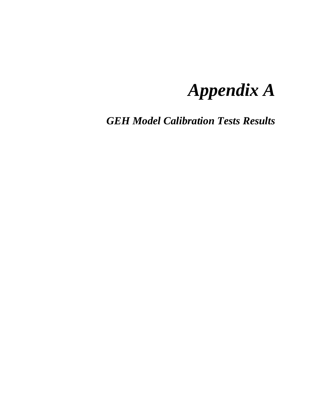# *Appendix A*

*GEH Model Calibration Tests Results*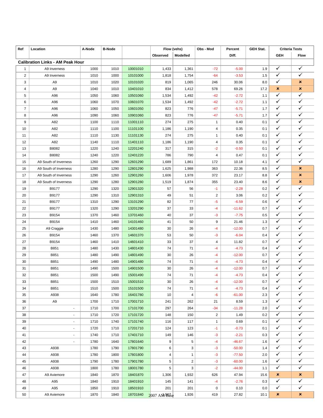| Ref              | Location                                | A-Node | <b>B-Node</b> |          | Flow (vehs)    |                 | Obs - Mod      | Percent             | <b>GEH Stat.</b> | <b>Criteria Tests</b> |                              |
|------------------|-----------------------------------------|--------|---------------|----------|----------------|-----------------|----------------|---------------------|------------------|-----------------------|------------------------------|
|                  |                                         |        |               |          | Observed       | <b>Modelled</b> |                | Diff.               |                  | <b>GEH</b>            | <b>Flow</b>                  |
|                  | <b>Calibration Links - AM Peak Hour</b> |        |               |          |                |                 |                |                     |                  |                       |                              |
| $\mathbf{1}$     | A9 Inverness                            | 1000   | 1010          | 10001010 | 1,433          | 1,361           | $-72$          | $-5.00$             | 1.9              | ✓                     | ✓                            |
| $\overline{2}$   | A9 Inverness                            | 1010   | 1000          | 10101000 | 1,818          | 1,754           | $-64$          | $-3.53$             | 1.5              | ✓                     | ✓                            |
| 3                | A9                                      | 1010   | 1020          | 10101020 | 819            | 1,065           | 246            | 30.06               | 8.0              | ✓                     | ×                            |
| 4                | A9                                      | 1040   | 1010          | 10401010 | 834            | 1,412           | 578            | 69.26               | 17.2             | ×                     | ×                            |
| 5                | A96                                     | 1050   | 1060          | 10501060 | 1,534          | 1,492           | $-42$          | $-2.72$             | 1.1              | ✓                     | ✓                            |
| 6                | A96                                     | 1060   | 1070          | 10601070 | 1,534          | 1,492           | $-42$          | $-2.72$             | 1.1              | ✓                     | ✓                            |
| $\boldsymbol{7}$ | A96                                     | 1060   | 1050          | 10601050 | 823            | 776             | -47            | $-5.71$             | 1.7              | ✓                     | ✓                            |
| 8                | A96                                     | 1090   | 1060          | 10901060 | 823            | 776             | $-47$          | $-5.71$             | 1.7              | ✓                     | ✓                            |
| 9                | A82                                     | 1100   | 1110          | 11001110 | 274            | 275             | $\mathbf{1}$   | 0.40                | 0.1              | ✓                     | ✓                            |
| 10               | A82                                     | 1110   | 1100          | 11101100 | 1,186          | 1,190           | 4              | 0.35                | 0.1              | ✓                     | ✓                            |
| 11               | A82                                     | 1110   | 1130          | 11101130 | 274            | 275             | $\mathbf{1}$   | 0.40                | 0.1              | ✓                     | ✓                            |
| 12               | A82                                     | 1140   | 1110          | 11401110 | 1,186          | 1,190           | 4              | 0.35                | 0.1              | $\checkmark$          | ✓                            |
| 13               | B8082                                   | 1220   | 1240          | 12201240 | 317            | 315             | $-2$           | $-0.50$             | 0.1              | ✓                     | $\checkmark$                 |
| 14               | B8082                                   | 1240   | 1220          | 12401220 | 786            | 790             | 4              | 0.47                | 0.1              | $\checkmark$          | $\checkmark$                 |
| 15               | A9 South of Inverness                   | 1260   | 1290          | 12601290 | 1,689          | 1,861           | 172            | 10.18               | 4.1              | ✓                     | ✓                            |
| 16               | A9 South of Inverness                   | 1280   | 1290          | 12801290 | 1,625          | 1,988           | 363            | 22.36               | 8.5              | ✓                     | ×                            |
| 17               | A9 South of Inverness                   | 1290   | 1260          | 12901260 |                |                 | 372            | 23.17               | 8.8              | ✓                     | ×                            |
| 18               | A9 South of Inverness                   | 1290   | 1280          | 12901280 | 1,606<br>1,519 | 1,978<br>1,874  | 355            | 23.40               | 8.6              | ✓                     | ×                            |
|                  | B9177                                   |        |               |          |                | 56              |                | $-2.28$             |                  | ✓                     | ✓                            |
| 19               |                                         | 1290   | 1320          | 12901320 | 57             |                 | $-1$           |                     | 0.2              | ✓                     | ✓                            |
| 20               | B9177                                   | 1290   | 1310          | 12901310 | 49             | 51              | $\overline{2}$ | 3.06                | 0.2              | ✓                     | ✓                            |
| 21               | B9177                                   | 1310   | 1290          | 13101290 | 82             | 77              | -5             | $-6.59$             | 0.6              | ✓                     | ✓                            |
| 22               | B9177                                   | 1320   | 1290          | 13201290 | 37             | 33              | -4             | $-11.62$            | 0.7              | ✓                     | $\checkmark$                 |
| 23               | B9154                                   | 1370   | 1460          | 13701460 | 40             | 37              | -3             | $-7.75$             | 0.5              | $\checkmark$          | $\checkmark$                 |
| 24               | B9154                                   | 1410   | 1460          | 14101460 | 41             | 50              | 9              | 21.46               | 1.3              | ✓                     | ✓                            |
| 25<br>26         | A9 Craggie                              | 1430   | 1480          | 14301480 | 30             | 26<br>50        | $-4$           | $-12.00$<br>$-6.04$ | 0.7<br>0.4       | ✓                     | ✓                            |
|                  | B9154                                   | 1460   | 1370          | 14601370 | 53             |                 | -3             |                     |                  | ✓                     | ✓                            |
| 27               | B9154                                   | 1460   | 1410          | 14601410 | 33             | 37              | 4              | 11.82               | 0.7              | ✓                     | $\checkmark$                 |
| 28               | B851                                    | 1480   | 1430          | 14801430 | 74             | 71              | -4             | $-4.73$             | 0.4              | ✓                     | $\checkmark$                 |
| 29               | B851                                    | 1480   | 1490          | 14801490 | 30             | 26              | -4             | $-12.00$            | 0.7              | ✓                     | ✓                            |
| 30               | B851                                    | 1490   | 1480          | 14901480 | 74             | 71              | -4             | $-4.73$             | 0.4              | ✓                     | ✓                            |
| 31               | B851                                    | 1490   | 1500          | 14901500 | 30             | 26              | $-4$           | $-12.00$            | 0.7              | ✓                     | ✓                            |
| 32               | B851                                    | 1500   | 1490          | 15001490 | 74             | 71              | -4             | $-4.73$             | 0.4              | ✓                     | ✓                            |
| 33               | B851                                    | 1500   | 1510          | 15001510 | $30\,$         | 26              | -4             | $-12.00$            | $0.7\,$          |                       | ✓                            |
| 34               | B851                                    | 1510   | 1500          | 15101500 | 74             | 71              | $-4$           | $-4.73$             | 0.4              | ✓                     |                              |
| 35               | A938                                    | 1640   | 1780          | 16401780 | 10             | 4               | -6             | $-61.00$            | 2.3              | ✓                     | ✓<br>✓                       |
| 36               | A9                                      | 1700   | 1710          | 17001710 | 241            | 262             | 21             | 8.59                | 1.3              | ✓                     |                              |
| 37               | $\blacksquare$                          | 1710   | 1700          | 17101700 | 297            | 264             | $-34$          | $-11.28$            | 2.0              | $\checkmark$          | ✓                            |
| 38               | $\blacksquare$                          | 1710   | 1720          | 17101720 | 148            | 150             | $\overline{2}$ | 1.49                | 0.2              | ✓                     | $\checkmark$<br>$\checkmark$ |
| 39               | $\blacksquare$                          | 1710   | 1740          | 17101740 | 116            | 117             | $\mathbf{1}$   | 0.69                | 0.1              | $\checkmark$          |                              |
| 40               | $\overline{\phantom{a}}$                | 1720   | 1710          | 17201710 | 124            | 123             | -1             | $-0.73$             | 0.1              | ✓                     | ✓                            |
| 41               | $\blacksquare$                          | 1740   | 1710          | 17401710 | 149            | 146             | $-3$           | $-2.21$             | 0.3              | ✓                     | ✓                            |
| 42               |                                         | 1780   | 1640          | 17801640 | 9              | 5               | -4             | $-46.67$            | 1.6              | ✓                     | ✓                            |
| 43               | A938                                    | 1780   | 1790          | 17801790 | 6              | 3               | -3             | $-50.00$            | 1.4              | ✓                     | $\checkmark$                 |
| 44               | A938                                    | 1780   | 1800          | 17801800 | 4              | $\mathbf{1}$    | $-3$           | $-77.50$            | 2.0              | $\checkmark$          | $\checkmark$                 |
| 45               | A938                                    | 1790   | 1780          | 17901780 | 5              | $\overline{2}$  | -3             | $-60.00$            | 1.6              | ✓                     | ✓                            |
| 46               | A938                                    | 1800   | 1780          | 18001780 | 5              | 3               | $-2$           | $-44.00$            | 1.1              | ✓                     | ✓                            |
| 47               | A9 Aviemore                             | 1840   | 1870          | 18401870 | 1,306          | 1,932           | 626            | 47.94               | 15.6             | ×                     | ×                            |
| 48               | A95                                     | 1840   | 1910          | 18401910 | 145            | 141             | $-4$           | $-2.76$             | 0.3              | ✓                     | ✓                            |
| 49               | A95                                     | 1850   | 1910          | 18501910 | 201            | 201             | 0              | 0.10                | 0.0              | $\checkmark$          | ✓                            |
| 50               | A9 Aviemore                             | 1870   | 1840          | 18701840 | 2007 AM 997se  | 1,926           | 419            | 27.82               | 10.1             | ×                     | $\pmb{\times}$               |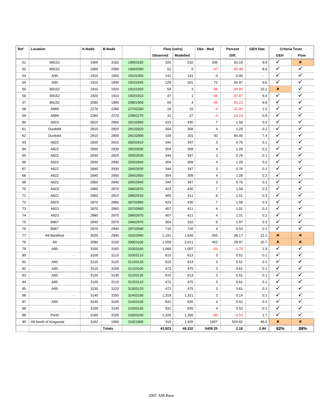| Ref | Location                 | A-Node | <b>B-Node</b> |          |          | Flow (vehs)  | Obs - Mod               | Percent  | <b>GEH Stat.</b> | <b>Criteria Tests</b> |                         |
|-----|--------------------------|--------|---------------|----------|----------|--------------|-------------------------|----------|------------------|-----------------------|-------------------------|
|     |                          |        |               |          | Observed | Modelled     |                         | Diff.    |                  | <b>GEH</b>            | <b>Flow</b>             |
| 51  | B9152                    | 1900   | 3182          | 19003182 | 326      | 532          | 206                     | 63.19    | 9.9              | $\checkmark$          | ×                       |
| 52  | B9152                    | 1900   | 2080          | 19002080 | 52       | 5            | $-47$                   | $-90.38$ | 8.8              | ✓                     | ✓                       |
| 53  | A95                      | 1910   | 1850          | 19101850 | 141      | 141          | 0                       | 0.00     | $\sim$           | ✓                     | ✓                       |
| 54  | A95                      | 1910   | 1840          | 19101840 | 129      | 201          | 72                      | 55.97    | 5.6              | $\checkmark$          | $\checkmark$            |
| 55  | B9152                    | 1910   | 1920          | 19101920 | 59       | 3            | $-56$                   | $-94.92$ | 10.1             | ×                     | ✓                       |
| 56  | B9152                    | 1920   | 1910          | 19201910 | 47       | $\mathbf{1}$ | $-46$                   | $-97.87$ | 9.4              | $\checkmark$          | ✓                       |
| 57  | B9152                    | 2080   | 1900          | 20801900 | 59       | 4            | $-55$                   | $-93.22$ | 9.8              | $\checkmark$          | $\checkmark$            |
| 58  | A889                     | 2270   | 2280          | 22702280 | 19       | 15           | $-4$                    | $-21.05$ | 1.0              | $\checkmark$          | ✓                       |
| 59  | A889                     | 2280   | 2270          | 22802270 | 31       | 27           | $-4$                    | $-14.19$ | 0.8              | $\checkmark$          | ✓                       |
| 60  | A923                     | 2810   | 2860          | 28102860 | 423      | 430          | $\overline{7}$          | 1.58     | 0.3              | $\checkmark$          | ✓                       |
| 61  | Dunkeld                  | 2810   | 2820          | 28102820 | 304      | 308          | 4                       | 1.28     | 0.2              | $\checkmark$          | ✓                       |
| 62  | Dunkeld                  | 2810   | 2800          | 28102800 | 109      | 201          | 92                      | 84.40    | 7.4              | ✓                     | ✓                       |
| 63  | A822                     | 2820   | 2810          | 28202810 | 344      | 347          | 3                       | 0.76     | 0.1              | ✓                     | ✓                       |
| 64  | A822                     | 2820   | 2830          | 28202830 | 304      | 308          | 4                       | 1.28     | 0.2              | $\checkmark$          | $\checkmark$            |
| 65  | A822                     | 2830   | 2820          | 28302820 | 344      | 347          | 3                       | 0.76     | 0.1              | $\checkmark$          | ✓                       |
| 66  | A822                     | 2830   | 2840          | 28302840 | 304      | 308          | 4                       | 1.28     | 0.2              | $\checkmark$          | ✓                       |
| 67  | A822                     | 2840   | 2830          | 28402830 | 344      | 347          | 3                       | 0.76     | 0.1              | $\checkmark$          | ✓                       |
| 68  | A822                     | 2840   | 2850          | 28402850 | 304      | 308          | 4                       | 1.28     | 0.2              | $\checkmark$          | ✓                       |
| 69  | A822                     | 2850   | 2840          | 28502840 | 344      | 347          | 3                       | 0.76     | 0.1              | $\checkmark$          | $\checkmark$            |
| 70  | A923                     | 2860   | 2870          | 28602870 | 423      | 430          | $\overline{7}$          | 1.58     | 0.3              | $\checkmark$          | ✓                       |
| 71  | A822                     | 2860   | 2810          | 28602810 | 405      | 411          | 6                       | 1.51     | 0.3              | ✓                     | ✓                       |
| 72  | A923                     | 2870   | 2880          | 28702880 | 423      | 430          | $\overline{7}$          | 1.58     | 0.3              | ✓                     | $\checkmark$            |
| 73  | A923                     | 2870   | 2860          | 28702860 | 407      | 411          | 4                       | 1.01     | 0.2              | ✓                     | ✓                       |
| 74  | A923                     | 2880   | 2870          | 28802870 | 407      | 411          | 4                       | 1.01     | 0.2              | $\checkmark$          | $\checkmark$            |
| 75  | B867                     | 2940   | 2970          | 29402970 | 304      | 310          | 6                       | 1.97     | 0.3              | $\checkmark$          | $\checkmark$            |
| 76  | <b>B867</b>              | 2970   | 2940          | 29702940 | 716      | 720          | 4                       | 0.54     | 0.1              | ✓                     | ✓                       |
| 77  | A9 Bankfoot              | 3020   | 2940          | 30202940 | 1,191    | 1,646        | 455                     | 38.17    | 12.1             | ×                     | $\pmb{\times}$          |
| 78  | A <sub>9</sub>           | 3090   | 3100          | 30903100 | 1,559    | 2,011        | 452                     | 28.97    | 10.7             | ×                     | $\pmb{\times}$          |
| 79  | A85                      | 3100   | 3160          | 31003160 | 1,068    | 1,007        | $-61$                   | $-5.70$  | 1.9              | $\checkmark$          | ✓                       |
| 80  | $\blacksquare$           | 3100   | 3110          | 31003110 | 610      | 613          | 3                       | 0.51     | 0.1              | ✓                     | ✓                       |
| 81  | A85                      | 3110   | 3120          | 31103120 | 610      | 613          | 3                       | 0.51     | 0.1              | $\checkmark$          | ✓                       |
| 82  | A85                      | 3110   | 3100          | 31103100 | 472      | 475          | 3                       | 0.61     | 0.1              | ✓                     | ✓                       |
| 83  | A85                      | 3120   | 3130          | 31203130 | 610      | 613          | 3                       | 0.51     | 0.1              | ✓                     | ✓                       |
| 84  | A85                      | 3120   | 3110          | 31203110 | 472      | 475          | 3                       | 0.61     | 0.1              | ✓                     | $\checkmark$            |
| 85  | A85                      | 3130   | 3120          | 31303120 | 472      | 475          | 3                       | 0.61     | 0.1              | $\checkmark$          | $\checkmark$            |
| 86  | $\overline{\phantom{a}}$ | 3140   | 3150          | 31403150 | 1,319    | 1,321        | $\overline{\mathbf{c}}$ | 0.14     | 0.1              | $\checkmark$          | $\checkmark$            |
| 87  | A85                      | 3140   | 3100          | 31403100 | 831      | 835          | 4                       | 0.52     | 0.1              | $\checkmark$          | $\checkmark$            |
| 88  | $\overline{\phantom{a}}$ | 3150   | 3140          | 31503140 | 831      | 835          | 4                       | 0.52     | 0.1              | $\checkmark$          | $\checkmark$            |
| 89  | Perth                    | 3160   | 3100          | 31603100 | 1,326    | 1,266        | $-60$                   | $-4.53$  | 1.7              | $\checkmark$          | $\overline{\checkmark}$ |
| 90  | A9 North of Kingussie    | 3182   | 1900          | 31821900 | 319      | 1,926        | 1607                    | 503.82   | 48.0             | ×                     | ×                       |
|     |                          |        | <b>Totals</b> |          | 43,923   | 49,332       | 5409.25                 | 2.18     | 2.84             | 92%                   | 88%                     |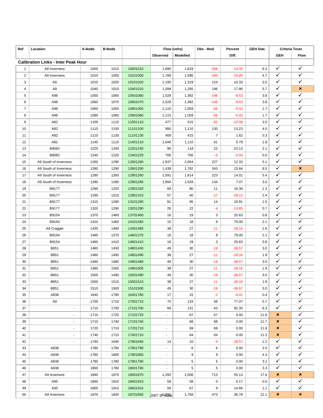| Ref              | Location                                   | A-Node | <b>B-Node</b> |          | Flow (vehs)    |                 | Obs - Mod      | Percent  | <b>GEH Stat.</b> | <b>Criteria Tests</b> |                |
|------------------|--------------------------------------------|--------|---------------|----------|----------------|-----------------|----------------|----------|------------------|-----------------------|----------------|
|                  |                                            |        |               |          | Observed       | <b>Modelled</b> |                | Diff.    |                  | <b>GEH</b>            | <b>Flow</b>    |
|                  | <b>Calibration Links - Inter Peak Hour</b> |        |               |          |                |                 |                |          |                  |                       |                |
| $\mathbf{1}$     | A9 Inverness                               | 1000   | 1010          | 10001010 | 1,895          | 1,629           | $-266$         | $-14.05$ | 6.3              | ✓                     | ✓              |
| $\overline{2}$   | A9 Inverness                               | 1010   | 1000          | 10101000 | 1,789          | 1,595           | $-194$         | $-10.85$ | 4.7              | ✓                     | ✓              |
| 3                | A9                                         | 1010   | 1020          | 10101020 | 1,195          | 1,319           | 124            | 10.33    | 3.5              | ✓                     | ✓              |
| 4                | A9                                         | 1040   | 1010          | 10401010 | 1,099          | 1,295           | 196            | 17.86    | 5.7              | ✓                     | ×              |
| 5                | A96                                        | 1050   | 1060          | 10501060 | 1,528          | 1,382           | $-146$         | $-9.53$  | 3.8              | ✓                     | ✓              |
| 6                | A96                                        | 1060   | 1070          | 10601070 | 1,528          | 1,382           | $-146$         | $-9.53$  | 3.8              | ✓                     | ✓              |
| $\boldsymbol{7}$ | A96                                        | 1060   | 1050          | 10601050 | 1,115          | 1,059           | $-56$          | $-5.02$  | 1.7              | ✓                     | ✓              |
| 8                | A96                                        | 1090   | 1060          | 10901060 | 1,115          | 1,059           | $-56$          | $-5.02$  | 1.7              | ✓                     | ✓              |
| 9                | A82                                        | 1100   | 1110          | 11001110 | 477            | 415             | $-62$          | $-13.08$ | 3.0              | ✓                     | ✓              |
| 10               | A82                                        | 1110   | 1100          | 11101100 | 980            | 1,110           | 130            | 13.23    | 4.0              | ✓                     | ✓              |
| 11               | A82                                        | 1110   | 1130          | 11101130 | 408            | 415             | $\overline{7}$ | 1.62     | 0.3              | ✓                     | ✓              |
| 12               | A82                                        | 1140   | 1110          | 11401110 | 1,049          | 1,110           | 61             | 5.79     | 1.8              | $\checkmark$          | ✓              |
| 13               | B8082                                      | 1220   | 1240          | 12201240 | 96             | 118             | 22             | 23.13    | 2.1              | ✓                     | $\checkmark$   |
| 14               | B8082                                      | 1240   | 1220          | 12401220 | 706            | 706             | -0             | $-0.04$  | 0.0              | $\checkmark$          | $\checkmark$   |
| 15               | A9 South of Inverness                      | 1260   | 1290          | 12601290 | 1,837          | 2,064           | 227            | 12.33    | 5.1              | ✓                     | ✓              |
| 16               | A9 South of Inverness                      | 1280   | 1290          | 12801290 | 1,439          | 1,782           | 343            | 23.84    | 8.5              | ✓                     | ×              |
| 17               | A9 South of Inverness                      | 1290   | 1260          | 12901260 | 1,591          | 1,814           | 223            | 14.01    | 5.4              | ✓                     | ✓              |
| 18               | A9 South of Inverness                      | 1290   | 1280          | 12901280 | 1,894          | 2,028           | 134            | 7.07     | 3.0              | ✓                     | ✓              |
|                  | B9177                                      |        |               |          |                | 80              |                |          |                  | ✓                     | ✓              |
| 19               |                                            | 1290   | 1320          | 12901320 | 69             |                 | 11             | 16.38    | 1.3              | ✓                     | ✓              |
| 20               | B9177                                      | 1290   | 1310          | 12901310 | 57             | 40              | $-17$          | $-29.12$ | 2.4              | ✓                     | ✓              |
| 21               | B9177                                      | 1310   | 1290          | 13101290 | 81             | 95              | 14             | 16.91    | 1.5              | ✓                     | ✓              |
| 22               | B9177                                      | 1320   | 1290          | 13201290 | 26             | 22              | -4             | $-13.85$ | 0.7              | ✓                     | $\checkmark$   |
| 23               | B9154                                      | 1370   | 1460          | 13701460 | 16             | 19              | 3              | 20.63    | 0.8              | $\checkmark$          | $\checkmark$   |
| 24               | B9154                                      | 1410   | 1460          | 14101460 | 10             | 18              | 8              | 79.00    | 2.1              | ✓                     | ✓              |
| 25               | A9 Craggie                                 | 1430   | 1480          | 14301480 | 38             | 27              | $-11$          | $-28.16$ | 1.9              | ✓                     | ✓              |
| 26               | B9154                                      | 1460   | 1370          | 14601370 | 10             | 18              | 8              | 79.00    | 2.1              | ✓                     | ✓              |
| 27               | B9154                                      | 1460   | 1410          | 14601410 | 16             | 19              | 3              | 20.63    | 0.8              | ✓                     | $\checkmark$   |
| 28               | B851                                       | 1480   | 1430          | 14801430 | 49             | 30              | $-19$          | $-38.57$ | 3.0              | ✓                     | $\checkmark$   |
| 29               | B851                                       | 1480   | 1490          | 14801490 | 38             | 27              | $-11$          | $-28.16$ | 1.9              | ✓                     | ✓              |
| 30               | B851                                       | 1490   | 1480          | 14901480 | 49             | 30              | $-19$          | $-38.57$ | 3.0              | ✓                     | ✓              |
| 31               | B851                                       | 1490   | 1500          | 14901500 | 38             | 27              | $-11$          | $-28.16$ | 1.9              | ✓                     | ✓              |
| 32               | B851                                       | 1500   | 1490          | 15001490 | 49             | 30              | $-19$          | $-38.57$ | 3.0              | ✓                     | ✓              |
| 33               | B851                                       | 1500   | 1510          | 15001510 | 38             | 27              | -11            | $-28.16$ | 1.9              |                       | ✓              |
| 34               | B851                                       | 1510   | 1500          | 15101500 | 49             | 30              | $-19$          | $-38.57$ | 3.0              | ✓                     | ✓              |
| 35               | A938                                       | 1640   | 1780          | 16401780 | 17             | 15              | $-2$           | $-9.41$  | 0.4              | ✓<br>✓                | ✓              |
| 36               | A9                                         | 1700   | 1710          | 17001710 | 75             | 133             | 58             | 77.07    | 5.7              |                       | $\checkmark$   |
| 37               | $\blacksquare$                             | 1710   | 1700          | 17101700 | 68             | 131             | 63             | 92.35    | 6.3              | ✓                     | $\checkmark$   |
| 38               | $\blacksquare$                             | 1710   | 1720          | 17101720 | $\blacksquare$ | 67              | 67             | 0.00     | 11.6             | ×                     | $\checkmark$   |
| 39               | $\blacksquare$                             | 1710   | 1740          | 17101740 | $\blacksquare$ | 68              | 68             | 0.00     | 11.7             | ×                     |                |
| 40               | $\overline{\phantom{a}}$                   | 1720   | 1710          | 17201710 | $\blacksquare$ | 69              | 69             | 0.00     | 11.8             | ×                     | ✓              |
| 41               | $\blacksquare$                             | 1740   | 1710          | 17401710 | $\sim$         | 64              | 64             | 0.00     | 11.3             | $\pmb{\times}$        | ✓              |
| 42               |                                            | 1780   | 1640          | 17801640 | 14             | 10              | -4             | $-28.57$ | 1.2              | ✓                     | ✓              |
| 43               | A938                                       | 1780   | 1790          | 17801790 |                | 6               | 6              | 0.00     | 3.5              | ✓                     | $\checkmark$   |
| 44               | A938                                       | 1780   | 1800          | 17801800 | $\blacksquare$ | 9               | 9              | 0.00     | 4.3              | $\checkmark$          | $\checkmark$   |
| 45               | A938                                       | 1790   | 1780          | 17901780 | $\blacksquare$ | 5               | 5              | 0.00     | 3.1              | ✓                     | ✓              |
| 46               | A938                                       | 1800   | 1780          | 18001780 |                | $\,$ 5 $\,$     | 5              | 0.00     | 3.3              | ✓                     | ✓              |
| 47               | A9 Aviemore                                | 1840   | 1870          | 18401870 | 1,293          | 2,006           | 713            | 55.14    | 17.6             | ×                     | ×              |
| 48               | A95                                        | 1840   | 1910          | 18401910 | 58             | 58              | 0              | 0.17     | 0.0              | ✓                     | ✓              |
| 49               | A95                                        | 1850   | 1910          | 18501910 | 58             | 67              | 9              | 14.66    | 1.1              | $\checkmark$          | ✓              |
| 50               | A9 Aviemore                                | 1870   | 1840          | 18701840 | 2007 IP Base   | 1,758           | 473            | 36.78    | 12.1             | ×                     | $\pmb{\times}$ |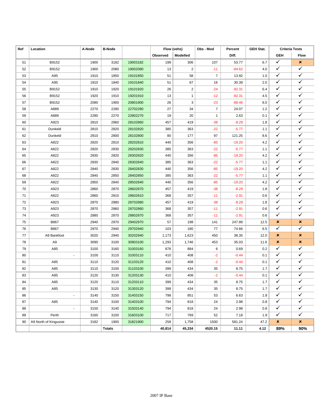| Ref | Location                 | A-Node | <b>B-Node</b> |          | Flow (vehs) |                         | Obs - Mod<br>Percent<br><b>GEH Stat.</b> |          | <b>Criteria Tests</b> |              |              |
|-----|--------------------------|--------|---------------|----------|-------------|-------------------------|------------------------------------------|----------|-----------------------|--------------|--------------|
|     |                          |        |               |          | Observed    | Modelled                |                                          | Diff.    |                       | <b>GEH</b>   | Flow         |
| 51  | B9152                    | 1900   | 3182          | 19003182 | 199         | 306                     | 107                                      | 53.77    | 6.7                   | $\checkmark$ | ×            |
| 52  | B9152                    | 1900   | 2080          | 19002080 | 13          | $\overline{\mathbf{c}}$ | $-11$                                    | $-84.62$ | 4.0                   | ✓            | $\checkmark$ |
| 53  | A95                      | 1910   | 1850          | 19101850 | 51          | 58                      | $\boldsymbol{7}$                         | 13.92    | 1.0                   | ✓            | $\checkmark$ |
| 54  | A95                      | 1910   | 1840          | 19101840 | 51          | 67                      | 16                                       | 30.39    | 2.0                   | $\checkmark$ | $\checkmark$ |
| 55  | B9152                    | 1910   | 1920          | 19101920 | 26          | 2                       | $-24$                                    | $-92.31$ | 6.4                   | ✓            | ✓            |
| 56  | B9152                    | 1920   | 1910          | 19201910 | 13          | $\mathbf{1}$            | $-12$                                    | $-92.31$ | 4.5                   | $\checkmark$ | ✓            |
| 57  | B9152                    | 2080   | 1900          | 20801900 | 26          | 3                       | $-23$                                    | $-88.46$ | 6.0                   | $\checkmark$ | ✓            |
| 58  | A889                     | 2270   | 2280          | 22702280 | 27          | 34                      | $\boldsymbol{7}$                         | 24.07    | 1.2                   | $\checkmark$ | $\checkmark$ |
| 59  | A889                     | 2280   | 2270          | 22802270 | 19          | 20                      | $\mathbf{1}$                             | 2.63     | 0.1                   | $\checkmark$ | $\checkmark$ |
| 60  | A923                     | 2810   | 2860          | 28102860 | 457         | 419                     | $-38$                                    | $-8.29$  | 1.8                   | ✓            | ✓            |
| 61  | Dunkeld                  | 2810   | 2820          | 28102820 | 385         | 363                     | $-22$                                    | $-5.77$  | 1.1                   | ✓            | ✓            |
| 62  | Dunkeld                  | 2810   | 2800          | 28102800 | 80          | 177                     | 97                                       | 121.25   | 8.6                   | ✓            | $\checkmark$ |
| 63  | A822                     | 2820   | 2810          | 28202810 | 440         | 356                     | $-85$                                    | $-19.20$ | 4.2                   | $\checkmark$ | $\checkmark$ |
| 64  | A822                     | 2820   | 2830          | 28202830 | 385         | 363                     | $-22$                                    | $-5.77$  | 1.1                   | $\checkmark$ | $\checkmark$ |
| 65  | A822                     | 2830   | 2820          | 28302820 | 440         | 356                     | $-85$                                    | $-19.20$ | 4.2                   | ✓            | ✓            |
| 66  | A822                     | 2830   | 2840          | 28302840 | 385         | 363                     | $-22$                                    | $-5.77$  | 1.1                   | $\checkmark$ | ✓            |
| 67  | A822                     | 2840   | 2830          | 28402830 | 440         | 356                     | $-85$                                    | $-19.20$ | 4.2                   | $\checkmark$ | ✓            |
| 68  | A822                     | 2840   | 2850          | 28402850 | 385         | 363                     | $-22$                                    | $-5.77$  | 1.1                   | $\checkmark$ | $\checkmark$ |
| 69  | A822                     | 2850   | 2840          | 28502840 | 440         | 356                     | $-85$                                    | $-19.20$ | 4.2                   | $\checkmark$ | $\checkmark$ |
| 70  | A923                     | 2860   | 2870          | 28602870 | 457         | 419                     | $-38$                                    | $-8.29$  | 1.8                   | ✓            | ✓            |
| 71  | A822                     | 2860   | 2810          | 28602810 | 368         | 357                     | $-11$                                    | $-2.91$  | 0.6                   | ✓            | ✓            |
| 72  | A923                     | 2870   | 2880          | 28702880 | 457         | 419                     | $-38$                                    | $-8.29$  | 1.8                   | ✓            | $\checkmark$ |
| 73  | A923                     | 2870   | 2860          | 28702860 | 368         | 357                     | $-11$                                    | $-2.91$  | 0.6                   | ✓            | $\checkmark$ |
| 74  | A923                     | 2880   | 2870          | 28802870 | 368         | 357                     | $-11$                                    | $-2.91$  | 0.6                   | $\checkmark$ | $\checkmark$ |
| 75  | B867                     | 2940   | 2970          | 29402970 | 57          | 198                     | 141                                      | 247.89   | 12.5                  | ×            | ×            |
| 76  | B867                     | 2970   | 2940          | 29702940 | 103         | 180                     | 77                                       | 74.66    | 6.5                   | $\checkmark$ | ✓            |
| 77  | A9 Bankfoot              | 3020   | 2940          | 30202940 | 1,173       | 1,623                   | 450                                      | 38.35    | 12.0                  | ×            | ×            |
| 78  | A <sub>9</sub>           | 3090   | 3100          | 30903100 | 1,293       | 1,746                   | 453                                      | 35.03    | 11.6                  | ×            | ×            |
| 79  | A85                      | 3100   | 3160          | 31003160 | 878         | 884                     | 6                                        | 0.69     | 0.2                   | $\checkmark$ | ✓            |
| 80  | $\blacksquare$           | 3100   | 3110          | 31003110 | 410         | 408                     | $-2$                                     | $-0.44$  | 0.1                   | ✓            | ✓            |
| 81  | A85                      | 3110   | 3120          | 31103120 | 410         | 408                     | $-2$                                     | $-0.44$  | 0.1                   | ✓            | ✓            |
| 82  | A85                      | 3110   | 3100          | 31103100 | 399         | 434                     | 35                                       | 8.75     | 1.7                   | ✓            | ✓            |
| 83  | A85                      | 3120   | 3130          | 31203130 | 410         | 408                     | $-2$                                     | $-0.44$  | 0.1                   | $\checkmark$ | $\checkmark$ |
| 84  | A85                      | 3120   | 3110          | 31203110 | 399         | 434                     | 35                                       | 8.75     | $1.7\,$               | ✓            | ✓            |
| 85  | A85                      | 3130   | 3120          | 31303120 | 399         | 434                     | 35                                       | 8.75     | 1.7                   | $\checkmark$ | $\checkmark$ |
| 86  | $\overline{\phantom{a}}$ | 3140   | 3150          | 31403150 | 798         | 851                     | 53                                       | 6.63     | 1.8                   | $\checkmark$ | $\checkmark$ |
| 87  | A85                      | 3140   | 3100          | 31403100 | 794         | 818                     | 24                                       | 2.98     | 0.8                   | $\checkmark$ | $\checkmark$ |
| 88  | $\blacksquare$           | 3150   | 3140          | 31503140 | 794         | 818                     | 24                                       | 2.98     | 0.8                   | $\checkmark$ | $\checkmark$ |
| 89  | Perth                    | 3160   | 3100          | 31603100 | 717         | 769                     | 52                                       | 7.18     | 1.9                   | $\checkmark$ | $\checkmark$ |
| 90  | A9 North of Kingussie    | 3182   | 1900          | 31821900 | 258         | 1,758                   | 1500                                     | 581.24   | 47.2                  | ×            | ×            |
|     |                          |        | <b>Totals</b> |          | 40,814      | 45,334                  | 4520.15                                  | 11.11    | 4.12                  | 89%          | 90%          |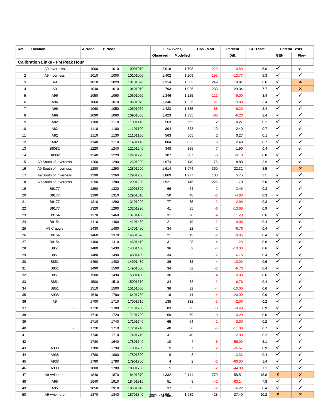| Ref            | Location                                | A-Node | <b>B-Node</b> |          | Flow (vehs)    |                 | Obs - Mod      | Percent<br><b>GEH Stat.</b> |            |                              | <b>Criteria Tests</b> |
|----------------|-----------------------------------------|--------|---------------|----------|----------------|-----------------|----------------|-----------------------------|------------|------------------------------|-----------------------|
|                |                                         |        |               |          | Observed       | <b>Modelled</b> |                | Diff.                       |            | <b>GEH</b>                   | <b>Flow</b>           |
|                | <b>Calibration Links - PM Peak Hour</b> |        |               |          |                |                 |                |                             |            |                              |                       |
| $\mathbf{1}$   | A9 Inverness                            | 1000   | 1010          | 10001010 | 2,018          | 1,798           | $-220$         | $-10.89$                    | 5.0        | ✓                            | ✓                     |
| $\overline{2}$ | A9 Inverness                            | 1010   | 1000          | 10101000 | 1,402          | 1,209           | $-193$         | $-13.77$                    | 5.3        | ✓                            | ✓                     |
| 3              | A <sub>9</sub>                          | 1010   | 1020          | 10101020 | 1,314          | 1,563           | 249            | 18.97                       | 6.6        | ✓                            | ×                     |
| 4              | A <sub>9</sub>                          | 1040   | 1010          | 10401010 | 793            | 1,026           | 233            | 29.34                       | 7.7        | $\checkmark$                 | $\pmb{\times}$        |
| 5              | A96                                     | 1050   | 1060          | 10501060 | 1,346          | 1,225           | $-121$         | $-9.00$                     | 3.4        | $\checkmark$                 | ✓                     |
| 6              | A96                                     | 1060   | 1070          | 10601070 | 1,346          | 1,225           | $-121$         | $-9.00$                     | 3.4        | $\checkmark$                 | ✓                     |
| $\overline{7}$ | A96                                     | 1060   | 1050          | 10601050 | 1,423          | 1,335           | $-88$          | $-6.20$                     | 2.4        | $\checkmark$                 | ✓                     |
| 8              | A96                                     | 1090   | 1060          | 10901060 | 1,423          | 1,335           | $-88$          | $-6.20$                     | 2.4        | ✓                            | ✓                     |
| 9              | A82                                     | 1100   | 1110          | 11001110 | 563            | 565             | $\overline{2}$ | 0.27                        | 0.1        | $\checkmark$                 | ✓                     |
| 10             | A82                                     | 1110   | 1100          | 11101100 | 804            | 823             | 19             | 2.40                        | 0.7        | $\checkmark$                 | ✓                     |
| 11             | A82                                     | 1110   | 1130          | 11101130 | 563            | 565             | $\overline{2}$ | 0.27                        | 0.1        | ✓                            | ✓                     |
| 12             | A82                                     | 1140   | 1110          | 11401110 | 804            | 823             | 19             | 2.40                        | 0.7        | ✓                            | $\checkmark$          |
| 13             | B8082                                   | 1220   | 1240          | 12201240 | 348            | 355             | $\overline{7}$ | 1.90                        | 0.4        | $\checkmark$                 | $\checkmark$          |
| 14             | B8082                                   | 1240   | 1220          | 12401220 | 307            | 307             | $-0$           | $-0.10$                     | 0.0        | $\checkmark$                 | $\checkmark$          |
| 15             | A9 South of Inverness                   | 1260   | 1290          | 12601290 | 1,974          | 2,149           | 175            | 8.88                        | 3.9        | $\checkmark$                 | ✓                     |
| 16             | A9 South of Inverness                   | 1280   | 1290          | 12801290 | 1,614          | 1,974           | 360            | 22.32                       | 8.5        | $\checkmark$                 | $\pmb{\times}$        |
| 17             | A9 South of Inverness                   | 1290   | 1260          | 12901260 |                | 1,977           | 108            | 5.75                        | 2.5        | ✓                            | ✓                     |
| 18             | A9 South of Inverness                   | 1290   | 1280          | 12901280 | 1,869<br>1,921 | 2,146           | 225            | 11.70                       | 5.0        | ✓                            | ✓                     |
|                | B9177                                   |        |               |          |                |                 |                |                             | 0.3        | $\checkmark$                 | ✓                     |
| 19             |                                         | 1290   | 1320          | 12901320 | 66             | 64              | $-2$           | $-3.48$                     |            | $\checkmark$                 | ✓                     |
| 20             | B9177                                   | 1290   | 1310          | 12901310 | 50             | 48              | $-2$           | $-4.60$                     | 0.3        | ✓                            | ✓                     |
| 21             | B9177                                   | 1310   | 1290          | 13101290 | 77             | 75              | $-2$           | $-2.99$                     | 0.3        | ✓                            | ✓                     |
| 22             | B9177                                   | 1320   | 1290          | 13201290 | 41             | 35              | -6             | $-13.66$                    | 0.9        | ✓                            | $\checkmark$          |
| 23             | B9154                                   | 1370   | 1460          | 13701460 | 31             | 28              | $-4$           | $-11.29$                    | 0.6        | $\checkmark$                 | $\checkmark$          |
| 24             | B9154                                   | 1410   | 1460          | 14101460 | 21             | 19              | $-2$           | $-9.05$                     | 0.4        | ✓                            | ✓                     |
| 25             | A9 Craggie                              | 1430   | 1480          | 14301480 | 34             | 32<br>19        | $-2$           | $-6.76$<br>$-9.05$          | 0.4<br>0.4 | $\checkmark$                 | ✓                     |
| 26             | B9154                                   | 1460   | 1370          | 14601370 | 21             |                 | $-2$           |                             |            | $\checkmark$                 | ✓                     |
| 27             | B9154                                   | 1460   | 1410          | 14601410 | 31             | 28              | $-4$           | $-11.29$                    | 0.6        | ✓                            | ✓                     |
| 28             | B851                                    | 1480   | 1430          | 14801430 | 36             | 32              | $-4$           | $-10.00$                    | 0.6        | $\checkmark$                 | ✓                     |
| 29             | B851                                    | 1480   | 1490          | 14801490 | 34             | 32              | $-2$           | $-6.76$                     | 0.4        | $\checkmark$                 | ✓                     |
| 30             | B851                                    | 1490   | 1480          | 14901480 | 36             | 32              | $-4$           | $-10.00$                    | 0.6        | ✓                            | ✓                     |
| 31             | B851                                    | 1490   | 1500          | 14901500 | 34             | 32              | $-2$           | $-6.76$                     | 0.4        | ✓                            | ✓                     |
| 32             | B851                                    | 1500   | 1490          | 15001490 | 36             | 32              | $-4$           | $-10.00$                    | 0.6        | ✓                            | ✓                     |
| 33             | B851                                    | 1500   | 1510          | 15001510 | 34             | 32              | $\overline{2}$ | $-6.76$                     | 0.4        | $\checkmark$                 | ✓                     |
| 34             | B851                                    | 1510   | 1500          | 15101500 | 36             | 32              | $-4$           | $-10.00$                    | 0.6        |                              |                       |
| 35             | A938                                    | 1640   | 1780          | 16401780 | 18             | 14              | $-4$           | $-20.00$                    | 0.9        | $\checkmark$                 | ✓<br>✓                |
| 36             | A9                                      | 1700   | 1710          | 17001710 | 135            | 132             | $-3$           | $-2.00$                     | 0.2        | $\checkmark$                 | $\checkmark$          |
| 37             | ÷,                                      | 1710   | 1700          | 17101700 | 83             | 75              | -8             | $-9.40$                     | 0.9        | $\checkmark$<br>$\checkmark$ | $\checkmark$          |
| 38             | $\overline{\phantom{a}}$                | 1710   | 1720          | 17101720 | 69             | 69              | -0             | $-0.29$                     | 0.0        |                              |                       |
| 39             | $\blacksquare$                          | 1710   | 1740          | 17101740 | 65             | 64              | $-1$           | $-2.00$                     | 0.2        | $\checkmark$                 | $\checkmark$          |
| 40             | ٠                                       | 1720   | 1710          | 17201710 | 40             | 36              | $-4$           | $-11.00$                    | 0.7        | $\checkmark$                 | ✓<br>✓                |
| 41             | $\overline{\phantom{a}}$                | 1740   | 1710          | 17401710 | 41             | 40              | $-1$           | $-2.93$                     | 0.2        | $\checkmark$                 |                       |
| 42             |                                         | 1780   | 1640          | 17801640 | 10             | 4               | -6             | $-56.00$                    | 2.1        | $\checkmark$                 | ✓                     |
| 43             | A938                                    | 1780   | 1790          | 17801790 | 9              | $\overline{7}$  | $-2$           | $-26.67$                    | 0.9        | $\checkmark$                 | $\checkmark$          |
| 44             | A938                                    | 1780   | 1800          | 17801800 | 9              | 8               | $-1$           | $-13.33$                    | 0.4        | $\checkmark$                 | $\checkmark$          |
| 45             | A938                                    | 1790   | 1780          | 17901780 | 4              | $\overline{c}$  | $-2$           | $-60.00$                    | 1.4        | $\checkmark$                 | $\checkmark$          |
| 46             | A938                                    | 1800   | 1780          | 18001780 | 5              | 3               | $-2$           | $-44.00$                    | 1.1        | ✓                            | ✓                     |
| 47             | A9 Aviemore                             | 1840   | 1870          | 18401870 | 1,332          | 2,111           | 779            | 58.51                       | 18.8       | ×                            | ×                     |
| 48             | A95                                     | 1840   | 1910          | 18401910 | 51             | 9               | $-42$          | $-83.14$                    | 7.8        | ✓                            | ✓                     |
| 49             | A95                                     | 1850   | 1910          | 18501910 | 37             | 35              | $-2$           | $-6.22$                     | 0.4        | $\checkmark$                 | ✓                     |
| 50             | A9 Aviemore                             | 1870   | 1840          | 18701840 | 2007 PM Base   | 1,989           | 428            | 27.40                       | 10.2       | ×                            | ×                     |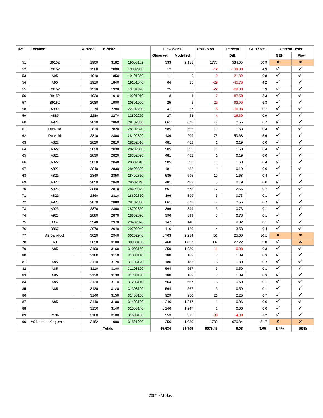| Ref | Location              | A-Node | <b>B-Node</b> |          | Flow (vehs) |                | Obs - Mod                 | Percent   | <b>GEH Stat.</b> | <b>Criteria Tests</b> |                    |
|-----|-----------------------|--------|---------------|----------|-------------|----------------|---------------------------|-----------|------------------|-----------------------|--------------------|
|     |                       |        |               |          | Observed    | Modelled       |                           | Diff.     |                  | <b>GEH</b>            | Flow               |
| 51  | B9152                 | 1900   | 3182          | 19003182 | 333         | 2,111          | 1778                      | 534.05    | 50.9             | $\pmb{\times}$        | ×                  |
| 52  | B9152                 | 1900   | 2080          | 19002080 | 12          | $\mathbf{r}$   | $-12$                     | $-100.00$ | 4.9              | ✓                     | $\checkmark$       |
| 53  | A95                   | 1910   | 1850          | 19101850 | 11          | 9              | $-2$                      | $-21.82$  | 0.8              | ✓                     | $\checkmark$       |
| 54  | A95                   | 1910   | 1840          | 19101840 | 64          | 35             | $-29$                     | $-45.78$  | 4.2              | $\checkmark$          | $\checkmark$       |
| 55  | B9152                 | 1910   | 1920          | 19101920 | 25          | 3              | $-22$                     | $-88.00$  | 5.9              | ✓                     | ✓                  |
| 56  | B9152                 | 1920   | 1910          | 19201910 | 8           | $\mathbf{1}$   | $-7$                      | $-87.50$  | 3.3              | ✓                     | ✓                  |
| 57  | B9152                 | 2080   | 1900          | 20801900 | 25          | $\overline{2}$ | $-23$                     | $-92.00$  | 6.3              | ✓                     | ✓                  |
| 58  | A889                  | 2270   | 2280          | 22702280 | 41          | 37             | -5                        | $-10.98$  | 0.7              | ✓                     | $\checkmark$       |
| 59  | A889                  | 2280   | 2270          | 22802270 | 27          | 23             | $-4$                      | $-16.30$  | 0.9              | $\checkmark$          | $\checkmark$       |
| 60  | A923                  | 2810   | 2860          | 28102860 | 661         | 678            | 17                        | 2.56      | 0.7              | ✓                     | ✓                  |
| 61  | Dunkeld               | 2810   | 2820          | 28102820 | 585         | 595            | 10                        | 1.68      | 0.4              | ✓                     | ✓                  |
| 62  | Dunkeld               | 2810   | 2800          | 28102800 | 136         | 209            | 73                        | 53.68     | 5.6              | $\checkmark$          | $\checkmark$       |
| 63  | A822                  | 2820   | 2810          | 28202810 | 481         | 482            | $\mathbf{1}$              | 0.19      | 0.0              | ✓                     | $\checkmark$       |
| 64  | A822                  | 2820   | 2830          | 28202830 | 585         | 595            | 10                        | 1.68      | 0.4              | $\checkmark$          | $\checkmark$       |
| 65  | A822                  | 2830   | 2820          | 28302820 | 481         | 482            | $\mathbf{1}$              | 0.19      | 0.0              | ✓                     | ✓                  |
| 66  | A822                  | 2830   | 2840          | 28302840 | 585         | 595            | 10                        | 1.68      | 0.4              | ✓                     | ✓                  |
| 67  | A822                  | 2840   | 2830          | 28402830 | 481         | 482            | $\mathbf{1}$              | 0.19      | 0.0              | ✓                     | ✓                  |
| 68  | A822                  | 2840   | 2850          | 28402850 | 585         | 595            | 10                        | 1.68      | 0.4              | $\checkmark$          | $\checkmark$       |
| 69  | A822                  | 2850   | 2840          | 28502840 | 481         | 482            | $\mathbf{1}$              | 0.19      | 0.0              | $\checkmark$          | $\checkmark$       |
| 70  | A923                  | 2860   | 2870          | 28602870 | 661         | 678            | 17                        | 2.56      | 0.7              | ✓                     | ✓                  |
| 71  | A822                  | 2860   | 2810          | 28602810 | 396         | 399            | 3                         | 0.73      | 0.1              | ✓                     | ✓                  |
| 72  | A923                  | 2870   | 2880          | 28702880 | 661         | 678            | 17                        | 2.56      | 0.7              | ✓                     | $\checkmark$       |
| 73  | A923                  | 2870   | 2860          | 28702860 | 396         | 399            | 3                         | 0.73      | 0.1              | ✓                     | $\checkmark$       |
| 74  | A923                  | 2880   | 2870          | 28802870 | 396         | 399            | 3                         | 0.73      | 0.1              | $\checkmark$          | $\checkmark$       |
| 75  | B867                  | 2940   | 2970          | 29402970 | 147         | 148            | $\mathbf{1}$              | 0.82      | 0.1              | ✓                     | ✓                  |
| 76  | B867                  | 2970   | 2940          | 29702940 | 116         | 120            | 4                         | 3.53      | 0.4              | ✓                     | ✓                  |
| 77  | A9 Bankfoot           | 3020   | 2940          | 30202940 | 1,763       | 2,214          | 451                       | 25.60     | 10.1             | ×                     | ×                  |
| 78  | A <sub>9</sub>        | 3090   | 3100          | 30903100 | 1,460       | 1,857          | 397                       | 27.22     | 9.8              | ✓                     | ×                  |
| 79  | A85                   | 3100   | 3160          | 31003160 | 1,250       | 1,239          | $-11$                     | $-0.90$   | 0.3              | $\checkmark$          | ✓                  |
| 80  | $\blacksquare$        | 3100   | 3110          | 31003110 | 180         | 183            | 3                         | 1.89      | 0.3              | ✓                     | ✓                  |
| 81  | A85                   | 3110   | 3120          | 31103120 | 180         | 183            | 3                         | 1.89      | 0.3              | ✓                     | ✓                  |
| 82  | A85                   | 3110   | 3100          | 31103100 | 564         | 567            | 3                         | 0.59      | 0.1              | ✓                     | ✓                  |
| 83  | A85                   | 3120   | 3130          | 31203130 | 180         | 183            | 3                         | 1.89      | 0.3              | $\checkmark$          | $\checkmark$       |
| 84  | A85                   | 3120   | 3110          | 31203110 | 564         | 567            | $\ensuremath{\mathsf{3}}$ | 0.59      | 0.1              | ✓                     | $\bar{\checkmark}$ |
| 85  | A85                   | 3130   | 3120          | 31303120 | 564         | 567            | 3                         | 0.59      | 0.1              | $\checkmark$          | $\checkmark$       |
| 86  | ÷,                    | 3140   | 3150          | 31403150 | 929         | 950            | 21                        | 2.25      | 0.7              | $\checkmark$          | $\checkmark$       |
| 87  | A85                   | 3140   | 3100          | 31403100 | 1,246       | 1,247          | $\mathbf{1}$              | 0.06      | 0.0              | $\checkmark$          | $\checkmark$       |
| 88  | $\blacksquare$        | 3150   | 3140          | 31503140 | 1,246       | 1,247          | $\mathbf{1}$              | 0.06      | 0.0              | $\checkmark$          | $\checkmark$       |
| 89  | Perth                 | 3160   | 3100          | 31603100 | 953         | 915            | $-38$                     | $-4.00$   | 1.2              | $\checkmark$          | $\checkmark$       |
| 90  | A9 North of Kingussie | 3182   | 1900          | 31821900 | 256         | 1,989          | 1733                      | 676.84    | 51.7             | ×                     | ×                  |
|     |                       |        | <b>Totals</b> |          | 45,634      | 51,709         | 6075.45                   | 6.08      | 3.05             | 94%                   | 90%                |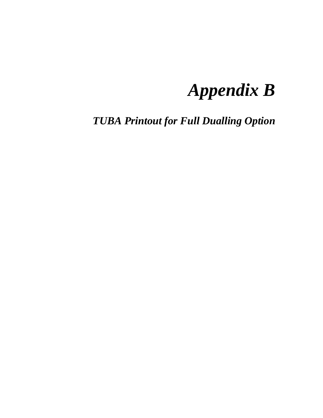## *Appendix B*

*TUBA Printout for Full Dualling Option*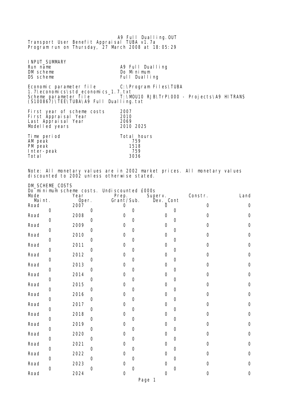A9 Full Dualling.OUT Transport User Benefit Appraisal TUBA v1.7a Program run on Thursday, 27 March 2008 at 18:05:29 INPUT\_SUMMARY<br>Run name Run name and A9 Full Dualling<br>
Do Minimum DM scheme Do Minimum<br>DS scheme DS Scheme DS Scheme DS Scheme DS Scheme DS Scheme DS Scheme DS Scheme DS Scheme DS Scheme DS Scheme Full Dualling Economic parameter file C:\Program Files\TUBA 1.7\economics\std\_economics\_1.7.txt Scheme parameter file T:\MOU10 RJB\TrP\000 - Projects\A9 HITRANS (S100867)\TEE\TUBA\A9 Full Dualling.txt First year of scheme costs 2007 First Appraisal Year 2010 Last Appraisal Year 2069 Modelled years 2010 2025 Time period Total hours AM peak 759 PM peak 1518 Inter-peak 759 **Total** 

Note: All monetary values are in 2002 market prices. All monetary values discounted to 2002 unless otherwise stated.

DM\_SCHEME\_COSTS

| Mode           |             | Do minimum scheme costs.<br>Year |             | Undi scounted £000s<br>Prep. |             | Superv.                  |          |          | Constr.     | Land   |
|----------------|-------------|----------------------------------|-------------|------------------------------|-------------|--------------------------|----------|----------|-------------|--------|
| Maint.<br>Road | $\mathbf 0$ | Oper.<br>2007                    | $\mathbf 0$ | Grant/Sub.<br>0              | 0           | Dev. _Cont               | $\Omega$ | 0        | 0           | 0      |
| Road           | 0           | 2008                             | 0           | 0                            | 0           |                          | 0        | 0        | 0           | 0      |
| Road           | 0           | 2009                             | 0           | 0                            | 0           |                          | 0        | $\Omega$ | 0           | 0      |
| Road           | 0           | 2010                             | 0           | $\boldsymbol{0}$             | 0           |                          | 0        | 0        | 0           | 0      |
| Road           | 0           | 2011                             | 0           | $\boldsymbol{0}$             | 0           |                          | 0        | 0        | 0           | 0      |
| Road           | 0           | 2012                             | 0           | 0                            | 0           |                          | 0        | 0        | $\mathbf 0$ | 0      |
| Road           | $\mathbf 0$ | 2013                             | 0           | 0                            | 0           |                          | 0        | 0        | $\mathbf 0$ | 0      |
| Road           | $\mathbf 0$ | 2014                             | 0           | 0                            | 0           |                          | 0        | 0        | $\mathbf 0$ | 0      |
| Road           | 0           | 2015                             | 0           | 0                            | 0           |                          | 0        | 0        | 0           | 0      |
| Road           | 0           | 2016                             | 0           | 0                            | 0           |                          | 0        | $\Omega$ | 0           | 0      |
| Road           | 0           | 2017                             | 0           | 0                            | $\mathbf 0$ |                          | 0        | $\Omega$ | 0           | 0      |
| Road           | 0           | 2018                             | 0           | 0                            | 0           |                          | 0        | $\Omega$ | 0           | 0      |
| Road<br>Road   | 0           | 2019<br>2020                     | 0           | 0<br>0                       | 0           |                          | 0<br>0   | 0        | 0<br>0      | 0<br>0 |
| Road           | 0           | 2021                             | 0           | 0                            | 0           |                          | 0        | 0        | $\Omega$    | 0      |
| Road           | 0           | 2022                             | 0           | $\Omega$                     | 0           |                          | 0        | 0        | $\Omega$    | 0      |
| Road           | 0           | 2023                             | 0           | 0                            | 0           |                          | 0        | 0        | 0           | 0      |
| Road           | 0           | 2024                             | 0           | 0                            | 0           |                          | 0        | 0        | 0           | 0      |
|                |             |                                  |             |                              | D-          | $\overline{\phantom{a}}$ |          |          |             |        |

Page 1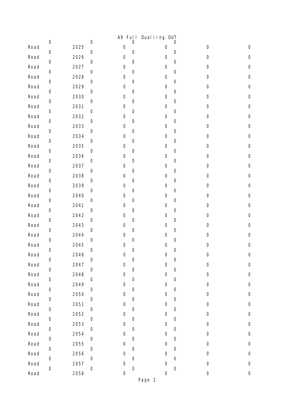|      |                     |      |             | A9 Ful I            |                     | Dual I i ng. OUT    |                     |                     |                     |
|------|---------------------|------|-------------|---------------------|---------------------|---------------------|---------------------|---------------------|---------------------|
| Road | $\boldsymbol{0}$    | 2025 | $\mathbf 0$ | $\mathsf{O}\xspace$ | $\mathsf{O}\xspace$ | 0                   | 0                   | $\boldsymbol{0}$    | $\mathsf{O}\xspace$ |
| Road | $\mbox{O}$          | 2026 | $\mathbf 0$ | $\mathsf{O}\xspace$ | $\mathsf{O}\xspace$ | $\mathbf 0$         | $\mathbf 0$         | $\mathsf{O}\xspace$ | $\mathbf 0$         |
| Road | $\boldsymbol{0}$    | 2027 | $\mathbf 0$ | 0                   | $\mathbf 0$         | 0                   | $\mathbf 0$         | $\mathbf 0$         | $\mathsf{O}\xspace$ |
| Road | $\boldsymbol{0}$    | 2028 | 0           | 0                   | $\mathsf O$         | $\boldsymbol{0}$    | $\mathbf 0$         | $\mathsf{O}\xspace$ | $\mathsf{O}\xspace$ |
| Road | $\mbox{O}$          | 2029 | 0           | $\mathsf{O}\xspace$ | $\mathsf{O}\xspace$ | $\mathsf{O}\xspace$ | $\mathbf 0$         | $\mathbf 0$         | $\mathbf 0$         |
| Road | $\mathbf 0$         | 2030 | 0           | 0                   | $\mathbf 0$         | 0                   | $\mathbf 0$         | $\mathbf 0$         | $\mathsf{O}\xspace$ |
| Road | $\mathsf{O}\xspace$ | 2031 | 0           | 0                   | $\mathbf 0$         | $\mathbf 0$         | $\mathbf 0$         | $\mathbf 0$         | $\mathsf{O}\xspace$ |
| Road | $\mathsf{O}\xspace$ | 2032 | $\mathbf 0$ | $\mathsf{O}\xspace$ | $\mathsf{O}\xspace$ | $\mathsf{O}\xspace$ | $\mathbf 0$         | $\mathbf 0$         | $\mathbf 0$         |
| Road | $\mathbf 0$         | 2033 | 0           | 0                   | $\mathsf O$         | 0                   | $\mathbf 0$         | $\mathbf 0$         | $\mathsf{O}\xspace$ |
| Road | $\boldsymbol{0}$    | 2034 | 0           | $\mathbf 0$         | 0                   | 0                   | $\mathbf 0$         | $\mathbf 0$         | 0                   |
|      | 0                   |      | $\mathbf 0$ | $\mathsf{O}\xspace$ | $\mathsf{O}\xspace$ | $\mathsf{O}\xspace$ | $\mathbf 0$         |                     | $\mathbf 0$         |
| Road | $\mathbf 0$         | 2035 | 0           |                     | $\mathbf 0$         |                     | $\mathbf 0$         | $\mathsf{O}\xspace$ |                     |
| Road | $\boldsymbol{0}$    | 2036 | 0           | 0                   | 0                   | 0                   | $\mathbf 0$         | $\mathbf 0$         | $\mathsf{O}\xspace$ |
| Road | $\mathsf{O}\xspace$ | 2037 | $\mathbf 0$ | $\mathbf 0$         | $\mathsf O$         | 0                   | $\mathbf 0$         | $\mathbf 0$         | 0                   |
| Road | $\boldsymbol{0}$    | 2038 | 0           | $\mathsf{O}\xspace$ | $\mathbf 0$         | $\mathsf{O}\xspace$ | $\mathbf 0$         | $\mathsf{O}\xspace$ | $\mathbf 0$         |
| Road | $\boldsymbol{0}$    | 2039 | 0           | 0                   | 0                   | 0                   | $\mathbf 0$         | $\mathbf 0$         | $\mathsf{O}\xspace$ |
| Road | $\mathsf{O}\xspace$ | 2040 | $\mathbf 0$ | $\mathbf 0$         | $\mathsf O$         | 0                   | $\mathbf 0$         | $\mathsf{O}\xspace$ | $\mathsf{O}\xspace$ |
| Road | $\boldsymbol{0}$    | 2041 | 0           | $\mathsf{O}\xspace$ | $\mathbf 0$         | $\mathsf{O}\xspace$ | $\mathbf 0$         | $\mathsf{O}\xspace$ | $\mathsf{O}\xspace$ |
| Road | $\boldsymbol{0}$    | 2042 | 0           | 0                   | 0                   | 0                   | $\mathbf 0$         | $\mathbf 0$         | $\mathsf{O}\xspace$ |
| Road | $\mbox{O}$          | 2043 | 0           | 0                   | $\mathsf{O}\xspace$ | 0                   | $\mathbf 0$         | $\mathsf{O}\xspace$ | $\mathsf{O}\xspace$ |
| Road | $\boldsymbol{0}$    | 2044 | 0           | 0                   | $\mathbf 0$         | 0                   | $\mathbf 0$         | $\mathsf{O}\xspace$ | $\mathsf{O}\xspace$ |
| Road | $\mathbf 0$         | 2045 | 0           | $\mathsf O$         | $\mathbf 0$         | 0                   | $\mathbf 0$         | $\mathbf 0$         | $\mathsf{O}\xspace$ |
| Road | $\boldsymbol{0}$    | 2046 | $\mathbf 0$ | 0                   | $\mathsf{O}\xspace$ | $\mathsf{O}\xspace$ | $\mathbf 0$         | $\mathbf 0$         | 0                   |
| Road | $\mbox{O}$          | 2047 | 0           | $\mathsf{O}\xspace$ | $\mathsf{O}\xspace$ | $\mathbf 0$         | $\mathsf{O}\xspace$ | $\mbox{O}$          | $\mathbf 0$         |
| Road | $\boldsymbol{0}$    | 2048 | $\mathbf 0$ | $\mathsf{O}\xspace$ | $\boldsymbol{0}$    | $\mathsf{O}\xspace$ | $\mathbf 0$         | $\mathsf{O}\xspace$ | $\mathbf 0$         |
| Road |                     | 2049 |             | $\mathsf{O}\xspace$ |                     | $\mathbf 0$         |                     | $\mbox{O}$          | $\mathbf 0$         |
| Road | 0                   | 2050 | 0           | $\mathsf{O}\xspace$ | 0                   | $\boldsymbol{0}$    | $\mathbf 0$         | $\mbox{O}$          | $\mathbf 0$         |
| Road | $\mathsf 0$         | 2051 | $\mathbf 0$ | $\mathsf{O}\xspace$ | $\mbox{O}$          | $\mathsf{O}\xspace$ | $\boldsymbol{0}$    | $\mathsf{O}\xspace$ | $\mathbf 0$         |
| Road | $\boldsymbol{0}$    | 2052 | 0           | 0                   | $\mathsf{O}\xspace$ | $\mathbf 0$         | $\mathbf 0$         | $\mbox{O}$          | $\mathbf 0$         |
| Road | 0                   | 2053 | 0           | $\mathsf{O}\xspace$ | 0                   | $\boldsymbol{0}$    | $\mathbf 0$         | $\mbox{O}$          | $\mathsf{O}\xspace$ |
| Road | $\mathsf{O}\xspace$ | 2054 | $\mathbf 0$ | $\mathsf{O}\xspace$ | $\mathsf{O}\xspace$ | $\mathsf{O}\xspace$ | $\boldsymbol{0}$    | $\mathsf{O}\xspace$ | $\mathbf 0$         |
| Road | $\boldsymbol{0}$    | 2055 | 0           | $\mathsf{O}\xspace$ | $\mathsf{O}\xspace$ | 0                   | $\mathbf 0$         | $\mathsf{O}\xspace$ | $\mathbf 0$         |
| Road | 0                   | 2056 | 0           | $\mathsf{O}\xspace$ | 0                   | $\boldsymbol{0}$    | $\mathbf 0$         | $\mbox{O}$          | 0                   |
| Road | $\mathsf 0$         | 2057 | $\mathbf 0$ | $\mathbf 0$         | $\mathsf{O}\xspace$ | $\mathsf{O}\xspace$ | $\boldsymbol{0}$    | $\mathsf{O}\xspace$ | $\mathsf{O}\xspace$ |
| Road | $\mathbf 0$         | 2058 | 0           | $\mathsf{O}\xspace$ | $\mathbf 0$         | 0                   | $\mathbf 0$         | $\mathsf{O}\xspace$ | $\mbox{O}$          |
|      |                     |      |             |                     |                     | Page 2              |                     |                     |                     |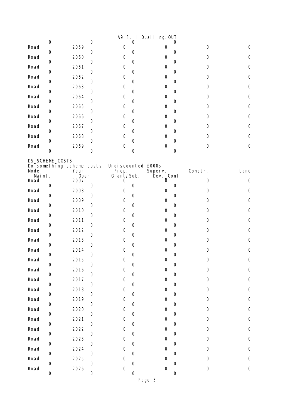|                |                     |                                    |                     |                              |             | A9 Full Dualling. OUT        |   |                     |                     |
|----------------|---------------------|------------------------------------|---------------------|------------------------------|-------------|------------------------------|---|---------------------|---------------------|
| Road           | $\mathsf{O}\xspace$ | 2059                               | $\boldsymbol{0}$    | 0                            | 0           | 0                            | 0 | $\mathbf 0$         | 0                   |
| Road           | 0                   | 2060                               | 0                   | 0                            | 0           | $\mathbf 0$                  | 0 | $\mathbf 0$         | 0                   |
| Road           | 0                   | 2061                               | 0                   | 0                            | 0           | 0                            | 0 | 0                   | 0                   |
| Road           | 0                   | 2062                               | 0                   | 0                            | 0           | 0                            | 0 | 0                   | 0                   |
|                | 0                   |                                    | 0                   |                              | 0           |                              | 0 |                     |                     |
| Road           | 0                   | 2063                               | 0                   | 0                            | 0           | $\mathbf 0$                  | 0 | $\mathbf 0$         | 0                   |
| Road           | 0                   | 2064                               | 0                   | 0                            | 0           | 0                            | 0 | $\mathbf 0$         | 0                   |
| Road           | 0                   | 2065                               | 0                   | 0                            | 0           | 0                            | 0 | 0                   | 0                   |
| Road           | 0                   | 2066                               | $\boldsymbol{0}$    | 0                            | 0           | 0                            | 0 | $\mathbf 0$         | 0                   |
| Road           |                     | 2067                               |                     | 0                            |             | 0                            |   | $\mathbf 0$         | 0                   |
| Road           | 0                   | 2068                               | 0                   | 0                            | 0           | 0                            | 0 | 0                   | 0                   |
| Road           | 0                   | 2069                               | 0                   | 0                            | 0           | $\mathbf 0$                  | 0 | $\mathbf 0$         | 0                   |
|                | $\mathsf{O}\xspace$ |                                    | 0                   |                              | 0           |                              | 0 |                     |                     |
| Mode           | DS_SCHEME_COSTS     | Do something scheme costs.<br>Year |                     | Undi scounted £000s<br>Prep. |             | Superv.                      |   | Constr.             | Land                |
| Maint.<br>Road |                     | Oper.<br>2007                      |                     | Grant/Sub.<br>0              |             | Dev. _Cont<br>$\overline{0}$ |   | $\mathbf 0$         | 0                   |
| Road           | $\boldsymbol{0}$    | 2008                               | 0                   | 0                            | 0           | 0                            | 0 | 0                   | 0                   |
|                | 0                   |                                    | 0                   |                              | 0           |                              | 0 |                     |                     |
| Road           | 0                   | 2009                               | 0                   | 0                            | 0           | 0                            | 0 | 0                   | 0                   |
| Road           | $\mathbf 0$         | 2010                               | $\boldsymbol{0}$    | 0                            | 0           | 0                            | 0 | $\mathbf 0$         | 0                   |
| Road           | 0                   | 2011                               | 0                   | 0                            | 0           | 0                            | 0 | $\mathbf 0$         | 0                   |
| Road           | 0                   | 2012                               | 0                   | 0                            | 0           | 0                            | 0 | 0                   | 0                   |
| Road           | 0                   | 2013                               |                     | 0                            | 0           | 0                            | 0 | $\mathbf 0$         | 0                   |
| Road           |                     | 2014                               | 0                   | 0                            |             | $\mathbf 0$                  |   | 0                   | 0                   |
| Road           | 0                   | 2015                               | $\boldsymbol{0}$    | $\mathsf{O}\xspace$          | 0           | $\mathsf O$                  | 0 | $\mathsf{O}\xspace$ | $\mathsf{O}\xspace$ |
| Road           | 0                   | 2016                               | $\mathbf 0$         | 0                            | 0           | $\mathbf 0$                  | 0 | $\mathsf{O}\xspace$ | $\mathsf{O}\xspace$ |
| Road           | $\boldsymbol{0}$    | 2017                               | $\mathbf 0$         | 0                            | 0           | $\mathbf 0$                  | 0 | $\mathsf{O}\xspace$ | $\mathsf{O}\xspace$ |
| Road           | $\mathsf{O}\xspace$ | 2018                               | $\mathsf{O}\xspace$ | 0                            | 0           | $\mathbf 0$                  | 0 | $\mathsf{O}\xspace$ | $\mathsf{O}\xspace$ |
| Road           | 0                   | 2019                               | 0                   | 0                            | 0           | $\mathbf 0$                  | 0 | $\mathsf{O}\xspace$ | $\mathbf 0$         |
|                | $\boldsymbol{0}$    |                                    | 0                   |                              | 0           |                              | 0 |                     |                     |
| Road           | $\mathsf{O}\xspace$ | 2020                               | $\mathbf 0$         | 0                            | $\mathbf 0$ | $\mathbf 0$                  | 0 | $\mathsf{O}\xspace$ | $\mathsf{O}\xspace$ |
| Road           | 0                   | 2021                               | 0                   | 0                            | 0           | $\mathbf 0$                  | 0 | $\mathsf{O}\xspace$ | $\mathsf{O}\xspace$ |
| Road           | $\boldsymbol{0}$    | 2022                               | $\mathbf 0$         | 0                            | 0           | $\mathbf 0$                  | 0 | $\mathsf{O}\xspace$ | $\mathsf{O}\xspace$ |
| Road           | $\mathsf{O}\xspace$ | 2023                               | $\mathbf 0$         | 0                            | 0           | $\mathbf 0$                  |   | $\mathbf 0$         | $\mathsf{O}\xspace$ |
| Road           |                     | 2024                               |                     | 0                            |             | $\mathbf 0$                  | 0 | $\mathbf 0$         | $\mathsf{O}\xspace$ |
| Road           | 0                   | 2025                               | 0                   | 0                            | 0           | $\mathbf 0$                  | 0 | $\mathsf{O}\xspace$ | $\mathsf{O}\xspace$ |
| Road           | $\mathbf 0$         | 2026                               | $\mathbf 0$         | 0                            | 0           | 0                            | 0 | $\mathsf{O}\xspace$ | $\mathbf 0$         |
|                | 0                   |                                    | 0                   |                              | 0           |                              | 0 |                     |                     |

Page 3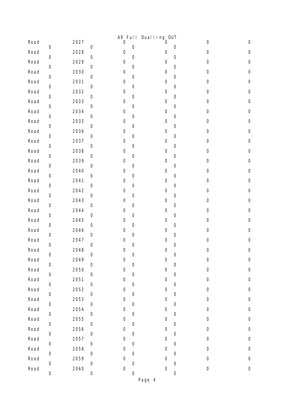|      |                     |      |             | A9 Ful I            |                     | Dual I ing. OUT     |                     |                     |                     |
|------|---------------------|------|-------------|---------------------|---------------------|---------------------|---------------------|---------------------|---------------------|
| Road | $\mathbf 0$         | 2027 | 0           | 0                   | $\mathbf 0$         | 0                   | $\mathbf 0$         | $\mathsf{O}\xspace$ | $\mathsf{O}\xspace$ |
| Road | $\mbox{O}$          | 2028 | $\mathbf 0$ | 0                   | $\mathsf{O}\xspace$ | 0                   | $\mathbf 0$         | $\mathbf 0$         | $\mathsf{O}\xspace$ |
| Road | $\boldsymbol{0}$    | 2029 | 0           | 0                   | $\mathbf 0$         | 0                   | $\mathbf 0$         | $\mathbf 0$         | 0                   |
| Road |                     | 2030 |             | $\mathsf{O}\xspace$ |                     | $\mathsf{O}\xspace$ |                     | $\mathsf{O}\xspace$ | $\mathsf{O}\xspace$ |
| Road | $\boldsymbol{0}$    | 2031 | 0           | 0                   | $\mathbf 0$         | 0                   | $\mathbf 0$         | $\mathsf{O}\xspace$ | $\mathsf O$         |
| Road | $\mbox{O}$          | 2032 | $\mathbf 0$ | 0                   | $\boldsymbol{0}$    | 0                   | $\mathbf 0$         | $\mathbf 0$         | 0                   |
| Road | $\boldsymbol{0}$    | 2033 | 0           | $\mathsf{O}\xspace$ | $\mathbf 0$         | 0                   | $\mathbf 0$         | $\mathsf{O}\xspace$ | $\mathsf{O}\xspace$ |
| Road | $\boldsymbol{0}$    | 2034 | $\mathbf 0$ | $\mathsf{O}\xspace$ | $\mathbf 0$         | $\mathsf{O}\xspace$ | $\mathbf 0$         | $\mathbf 0$         | $\mathsf{O}\xspace$ |
| Road | $\mbox{O}$          | 2035 | $\mathbf 0$ | 0                   | $\mathsf{O}\xspace$ | 0                   | $\mathbf 0$         | $\mathbf 0$         | 0                   |
| Road | $\boldsymbol{0}$    | 2036 | 0           | 0                   | $\mathbf 0$         | 0                   | $\mathbf 0$         | $\mathsf{O}\xspace$ | $\mathsf{O}\xspace$ |
| Road | 0                   | 2037 | 0           | $\mathsf{O}\xspace$ | $\boldsymbol{0}$    | 0                   | $\mathbf 0$         | $\mathsf{O}\xspace$ | $\mathsf{O}\xspace$ |
| Road | $\boldsymbol{0}$    | 2038 | 0           | 0                   | $\mathbf 0$         | 0                   | $\mathbf 0$         | $\mathbf 0$         | 0                   |
| Road | $\boldsymbol{0}$    | 2039 | 0           | 0                   | $\mathbf 0$         | 0                   | $\mathbf 0$         | $\boldsymbol{0}$    | 0                   |
| Road | 0                   | 2040 | 0           | $\mathsf{O}\xspace$ | 0                   | $\mathsf{O}\xspace$ | $\mathbf 0$         | $\mathsf{O}\xspace$ | $\mathsf O$         |
| Road | $\boldsymbol{0}$    | 2041 | $\mathbf 0$ | 0                   | $\mathbf 0$         | 0                   | $\mathbf 0$         | $\mathsf{O}\xspace$ | $\mathsf{O}\xspace$ |
| Road | $\boldsymbol{0}$    | 2042 | 0           | 0                   | 0                   | 0                   | $\mathbf 0$         | $\mathsf{O}\xspace$ | 0                   |
| Road | 0                   | 2043 | 0           | $\mathsf{O}\xspace$ | $\boldsymbol{0}$    | $\mathsf{O}\xspace$ | $\mathbf 0$         | $\mathsf{O}\xspace$ | $\mathsf O$         |
| Road | $\boldsymbol{0}$    | 2044 | 0           | 0                   | $\mathbf 0$         | 0                   | $\mathbf 0$         | $\mathsf{O}\xspace$ | $\mathsf{O}\xspace$ |
| Road | $\boldsymbol{0}$    | 2045 | 0           | 0                   | $\mathbf 0$         | $\boldsymbol{0}$    | $\mathbf 0$         | $\mathbf 0$         | 0                   |
| Road | 0                   | 2046 | $\mathbf 0$ | $\mathsf{O}\xspace$ | $\boldsymbol{0}$    | 0                   | $\mathbf 0$         | $\mathsf{O}\xspace$ | $\mathsf O$         |
| Road | $\boldsymbol{0}$    | 2047 | 0           | 0                   | $\mathbf 0$         | 0                   | $\mathbf 0$         | $\mathbf 0$         | 0                   |
| Road | $\mathsf{O}\xspace$ | 2048 | 0           | $\mathbf 0$         | 0                   | $\boldsymbol{0}$    | $\mathbf 0$         | $\mathbf 0$         | $\mathsf{O}\xspace$ |
| Road | $\boldsymbol{0}$    | 2049 | $\mathbf 0$ | $\mathbf 0$         | $\mathbf 0$         | $\mathsf{O}\xspace$ | $\mathbf 0$         | 0                   | 0                   |
| Road | $\boldsymbol{0}$    | 2050 | 0           | $\mathbf 0$         | $\boldsymbol{0}$    | $\mathsf{O}\xspace$ | $\mathbf 0$         | $\mathsf{O}\xspace$ | $\mathsf{O}\xspace$ |
| Road | $\mathsf{O}\xspace$ | 2051 | $\mathbf 0$ | 0                   | $\mathsf{O}\xspace$ | $\boldsymbol{0}$    | $\mathsf{O}\xspace$ | $\mbox{O}$          | $\mathsf{O}\xspace$ |
| Road | 0                   | 2052 | 0           | $\mathbf 0$         | 0                   | $\boldsymbol{0}$    | $\boldsymbol{0}$    | $\mathsf 0$         | $\mbox{O}$          |
| Road | $\boldsymbol{0}$    | 2053 | $\mathbf 0$ | $\mathbf 0$         | $\boldsymbol{0}$    | 0                   | $\mathbf 0$         | $\mathsf{O}\xspace$ | $\mathsf{O}\xspace$ |
| Road | $\mathsf{O}\xspace$ | 2054 | $\mathbf 0$ | 0                   | $\mathsf{O}\xspace$ | $\mathbf 0$         | $\mathsf{O}\xspace$ | $\mbox{O}$          | $\mathsf{O}\xspace$ |
| Road | 0                   | 2055 | 0           | $\mathsf{O}\xspace$ | 0                   | $\mathbf 0$         | $\boldsymbol{0}$    | $\mathsf 0$         | $\mbox{O}$          |
| Road | $\boldsymbol{0}$    | 2056 | $\mathbf 0$ | $\mathsf{O}\xspace$ | $\boldsymbol{0}$    | 0                   | $\mathbf 0$         | $\mathsf{O}\xspace$ | $\mbox{O}$          |
| Road | $\,0\,$             | 2057 | $\mathbf 0$ | 0                   | $\mathsf{O}\xspace$ | $\mathbf 0$         | $\mathsf{O}\xspace$ | $\mbox{O}$          | 0                   |
| Road | 0                   | 2058 | 0           | $\mathsf{O}\xspace$ | 0                   | $\mathbf 0$         | $\boldsymbol{0}$    | $\mathsf 0$         | $\mathsf{O}\xspace$ |
| Road | 0                   | 2059 | $\mathbf 0$ | $\mathbf 0$         | 0                   | 0                   | $\mathbf 0$         | $\mathsf{O}\xspace$ | $\mathsf{O}\xspace$ |
| Road | $\mathsf 0$         | 2060 | $\mathbf 0$ | $\mathsf{O}\xspace$ | $\mathsf{O}\xspace$ | 0                   | $\mathsf{O}\xspace$ | $\mathsf{O}\xspace$ | $\mathsf{O}\xspace$ |
|      | 0                   |      | 0           |                     | 0                   |                     | $\boldsymbol{0}$    |                     |                     |
|      |                     |      |             |                     |                     | Page 4              |                     |                     |                     |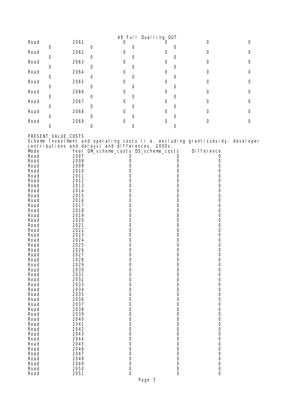|      |      |   | A9 Full Dualling. OUT |   |  |
|------|------|---|-----------------------|---|--|
| Road | 2061 | 0 | Ü                     | 0 |  |
| Road | 2062 |   | 0                     | 0 |  |
| Road | 2063 |   | 0                     | ი |  |
| Road | 2064 |   | 0                     | ი |  |
| Road | 2065 |   | 0                     | ი |  |
| Road | 2066 |   | 0                     | ი |  |
| Road | 2067 |   | 0                     | ი |  |
| Road | 2068 |   | Ω                     | O |  |
| Road | 2069 |   | 0                     |   |  |
|      |      |   |                       |   |  |

PRESENT\_VALUE\_COSTS

Scheme investment and operating costs (i.e. excluding grant/subsidy, developer contributions and delays) and differences. £000s.

| Mode |      |        | Year DM_scheme_costs DS_scheme_costs |             | Di fference |
|------|------|--------|--------------------------------------|-------------|-------------|
| Road | 2007 | 0      |                                      | 0           | 0           |
| Road | 2008 | 0      |                                      | 0           | 0           |
| Road | 2009 | 0      |                                      | 0           | 0           |
| Road | 2010 | 0      |                                      | 0           | 0           |
| Road | 2011 | 0      |                                      | 0           | 0           |
| Road | 2012 | 0      |                                      | 0           | 0           |
|      | 2013 | 0      |                                      | 0           |             |
| Road |      |        |                                      |             | 0           |
| Road | 2014 | 0      |                                      | 0           | 0           |
| Road | 2015 | 0      |                                      | 0           | 0           |
| Road | 2016 | 0      |                                      | 0           | 0           |
| Road | 2017 | 0      |                                      | 0           | 0           |
| Road | 2018 | 0      |                                      | 0           | 0           |
| Road | 2019 | 0      |                                      | 0           | 0           |
| Road | 2020 | 0      |                                      | $\mathbf 0$ | 0           |
| Road | 2021 | 0      |                                      | 0           | 0           |
| Road | 2022 | 0      |                                      | 0           | 0           |
| Road | 2023 | 0      |                                      | 0           | 0           |
| Road | 2024 | 0      |                                      | 0           | 0           |
| Road | 2025 | 0      |                                      | 0           | 0           |
| Road | 2026 | 0      |                                      | 0           | 0           |
| Road | 2027 | 0      |                                      | 0           | 0           |
| Road | 2028 | 0      |                                      | 0           | 0           |
| Road | 2029 | 0      |                                      | 0           | 0           |
| Road | 2030 | 0      |                                      | 0           | 0           |
| Road | 2031 | 0      |                                      | 0           | 0           |
| Road | 2032 | 0      |                                      | 0           | 0           |
| Road | 2033 | 0      |                                      | 0           | 0           |
| Road | 2034 | 0      |                                      | 0           | 0           |
| Road | 2035 | 0      |                                      | 0           | 0           |
| Road | 2036 | 0      |                                      | 0           | 0           |
| Road | 2037 | 0      |                                      | 0           | 0           |
| Road | 2038 | 0      |                                      | 0           | 0           |
| Road | 2039 | 0      |                                      | 0           | 0           |
| Road | 2040 | 0      |                                      | 0           | 0           |
| Road | 2041 | 0      |                                      | 0           | 0           |
| Road | 2042 | 0      |                                      | 0           | 0           |
| Road | 2043 | 0      |                                      | 0           | 0           |
| Road | 2044 | 0      |                                      | 0           | 0           |
| Road | 2045 | 0      |                                      | 0           | 0           |
| Road | 2046 | 0      |                                      | $\mathbf 0$ | 0           |
|      | 2047 | 0      |                                      | 0           | 0           |
| Road | 2048 |        |                                      |             |             |
| Road | 2049 | 0<br>0 |                                      | 0<br>0      | 0<br>0      |
| Road |      |        |                                      |             |             |
| Road | 2050 | 0      |                                      | 0           | 0           |
| Road | 2051 | 0      |                                      | $\mathbf 0$ | 0           |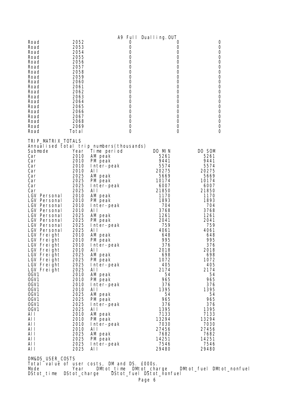| Road<br>Road<br>Road<br>Road<br>Road<br>Road<br>Road<br>Road<br>Road<br>Road<br>Road<br>Road<br>Road<br>Road<br>Road<br>Road<br>Road<br>Road                                                                                                                                                                                                                                                                                                                                                                                                                                                                        | 2052<br>2053<br>2054<br>2055<br>2056<br>2057<br>2058<br>2059<br>2060<br>2061<br>2062<br>2063<br>2064<br>2065<br>2066<br>2067<br>2068<br>2069                                                                                                                                                                                                  |                                                                                                                                                                                                                                                                                                                                                                                                                                                                     | 0<br>0<br>0<br>0<br>$\boldsymbol{0}$<br>$\boldsymbol{0}$<br>0<br>$\boldsymbol{0}$<br>$\boldsymbol{0}$<br>0<br>$\boldsymbol{0}$<br>$\boldsymbol{0}$<br>0<br>0<br>$\boldsymbol{0}$<br>0<br>0<br>$\boldsymbol{0}$ | A9 Full Dualling. OUT                                                                                                                                                                                                                                                                                                          | 0<br>0<br>0<br>0<br>0<br>0<br>0<br>0<br>0<br>0<br>0<br>0<br>0<br>0<br>0<br>0<br>0<br>0 | 0<br>0<br>0<br>0<br>0<br>0<br>0<br>0<br>0<br>0<br>0<br>0<br>0<br>0<br>0<br>0<br>0<br>0                                                                                                                                                                                                                                                     |
|---------------------------------------------------------------------------------------------------------------------------------------------------------------------------------------------------------------------------------------------------------------------------------------------------------------------------------------------------------------------------------------------------------------------------------------------------------------------------------------------------------------------------------------------------------------------------------------------------------------------|-----------------------------------------------------------------------------------------------------------------------------------------------------------------------------------------------------------------------------------------------------------------------------------------------------------------------------------------------|---------------------------------------------------------------------------------------------------------------------------------------------------------------------------------------------------------------------------------------------------------------------------------------------------------------------------------------------------------------------------------------------------------------------------------------------------------------------|----------------------------------------------------------------------------------------------------------------------------------------------------------------------------------------------------------------|--------------------------------------------------------------------------------------------------------------------------------------------------------------------------------------------------------------------------------------------------------------------------------------------------------------------------------|----------------------------------------------------------------------------------------|--------------------------------------------------------------------------------------------------------------------------------------------------------------------------------------------------------------------------------------------------------------------------------------------------------------------------------------------|
| Road<br>TRI P_MATRI X_TOTALS<br>Annualised total trip numbers(thousands)<br>Submode<br>Car<br>Car<br>Car<br>Car<br>Car<br>Car<br>Car<br>Car<br>LGV Personal<br>LGV Personal<br>LGV Personal<br>LGV Personal<br>LGV Personal<br>LGV Personal<br>LGV Personal<br>LGV Personal<br>LGV Freight<br>LGV Freight<br>LGV Freight<br>LGV Freight<br>LGV Freight<br>LGV Freight<br>LGV Freight<br>LGV Freight<br>OGV1<br>OGV <sub>1</sub><br>OGV <sub>1</sub><br>OGV1<br>OGV <sub>1</sub><br>OGV1<br>OGV <sub>1</sub><br>OGV <sub>1</sub><br>AI I<br>AI I<br>AI I<br>AI I<br>AI I<br>AI I<br>AI I<br>AI I<br>DM&DS_USER_COSTS | Total<br>Year<br>2010<br>2010<br>2010<br>2010<br>2025<br>2025<br>2025<br>2025<br>2010<br>2010<br>2010<br>2010<br>2025<br>2025<br>2025<br>2025<br>2010<br>2010<br>2010<br>2010<br>2025<br>2025<br>2025<br>2025<br>2010<br>2010<br>2010<br>2010<br>2025<br>2025<br>2025<br>2025<br>2010<br>2010<br>2010<br>2010<br>2025<br>2025<br>2025<br>2025 | Time period<br>AM peak<br>PM peak<br>Inter-peak<br>AI I<br>AM peak<br>PM peak<br>Inter-peak<br>AI I<br>AM peak<br>PM peak<br>Inter-peak<br>AI I<br>AM peak<br>PM peak<br>Inter-peak<br>AI I<br>AM peak<br>PM peak<br>Inter-peak<br>AI I<br>AM peak<br>PM peak<br>Inter-peak<br>AI I<br>AM peak<br>PM peak<br>Inter-peak<br>AI I<br>AM peak<br>PM peak<br>Inter-peak<br>Al I<br>AM peak<br>PM peak<br>Inter-peak<br>AI I<br>AM peak<br>PM peak<br>Inter-peak<br>AI I | $\Omega$                                                                                                                                                                                                       | DO MIN<br>5261<br>9441<br>5574<br>20275<br>5669<br>10174<br>6007<br>21850<br>1170<br>1893<br>704<br>3768<br>1261<br>2041<br>759<br>4061<br>648<br>995<br>376<br>2018<br>698<br>1072<br>405<br>2174<br>54<br>965<br>376<br>1395<br>54<br>965<br>376<br>1395<br>7133<br>13294<br>7030<br>27456<br>7682<br>14251<br>7546<br>29480 | $\Omega$                                                                               | $\Omega$<br>DO SOM<br>5261<br>9441<br>5574<br>20275<br>5669<br>10174<br>6007<br>21850<br>1170<br>1893<br>704<br>3768<br>1261<br>2041<br>759<br>4061<br>648<br>995<br>376<br>2018<br>698<br>1072<br>405<br>2174<br>54<br>965<br>376<br>1395<br>54<br>965<br>376<br>1395<br>7133<br>13294<br>7030<br>27456<br>7682<br>14251<br>7546<br>29480 |

Total value of user costs, DM and DS. £000s. Mode Year DMtot\_time DMtot\_charge DMtot\_fuel DMtot\_nonfuel DStot\_time DStot\_charge DStot\_fuel DStot\_nonfuel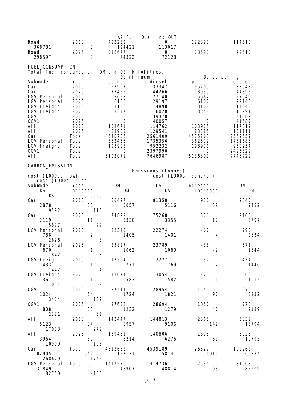|                                                                     |                                       |                  |                      | A9 Full Dualling. OUT                       |                              |                         |
|---------------------------------------------------------------------|---------------------------------------|------------------|----------------------|---------------------------------------------|------------------------------|-------------------------|
| Road<br>368781                                                      | 2010                                  | 0                | 422252<br>124421     | 0<br>113017                                 | 122390                       | 114510                  |
| Road                                                                | 2025                                  |                  | 318677               | 0<br>72128                                  | 73598                        | 72613                   |
| 298597                                                              |                                       | 0                | 74322                |                                             |                              |                         |
| FUEL_CONSUMPTI ON<br>Total fuel consumption, DM and DS. kilolitres. |                                       |                  |                      |                                             |                              |                         |
| Submode                                                             | Year                                  |                  | Do minimum<br>petrol | di esel                                     | petrol                       | Do something<br>di esel |
| Car                                                                 | 2010                                  |                  | 93907                | 33347                                       | 95205                        | 33548                   |
| Car<br>LGV Personal                                                 | 2025<br>2010                          |                  | 73455<br>5658        | 44266<br>27140                              | 73935<br>5662                | 44392<br>27040          |
| LGV Personal                                                        | 2025                                  |                  | 6100                 | 29197                                       | 6102                         | 29140                   |
| LGV Freight<br>LGV Freight                                          | 2010<br>2025                          |                  | 3106<br>3347         | 14898<br>16020                              | 3108<br>3348                 | 14843<br>15991          |
| OGV1<br>OGV1                                                        | 2010<br>2025                          |                  | 0<br>0               | 39378<br>40057                              | 0<br>0                       | 41589<br>41589          |
| AI I                                                                | 2010                                  |                  | 102671               | 114762                                      | 103975                       | 117019                  |
| AI I<br>Car                                                         | 2025<br>Total                         |                  | 82903<br>4540706     | 129541<br>2561409                           | 83385<br>4575263             | 131111<br>2569559       |
| LGV Personal                                                        | Total                                 |                  | 362456               | 1735356                                     | 362572                       | 1731586                 |
| LGV Freight<br>OGV1                                                 | Total<br>Total                        |                  | 198908<br>0          | 952232<br>2397990                           | 198971<br>0                  | 950254<br>2495329       |
| AI I                                                                | Total                                 |                  | 5102071              | 7646987                                     | 5136807                      | 7746729                 |
| CARBON_EMI SSI ON                                                   |                                       |                  |                      |                                             |                              |                         |
| cost (£000s, low)                                                   |                                       |                  |                      | Emissions (tonnes)<br>cost (£000s, central) |                              |                         |
| cost (£000s, high)                                                  |                                       |                  |                      |                                             |                              |                         |
| Submode<br><b>DS</b>                                                | Year<br>Increase                      |                  | DM<br>DM             | <b>DS</b><br>DS.                            | Increase<br><i>I</i> ncrease | DM<br>DM                |
| <b>DS</b><br>Car                                                    | 2010                                  | <i>I</i> ncrease | 80427                |                                             | 930                          |                         |
| 2878                                                                |                                       | 33               | 5057                 | 81358<br>5116                               |                              | 2845<br>59<br>9482      |
| 9592<br>Car                                                         | 2025                                  | 110              | 74892                | 75268                                       | 376                          | 2108                    |
| 2119<br>5827                                                        |                                       | 11<br>29         | 3338                 | 3355                                        |                              | 17<br>5797              |
| LGV Personal                                                        | 2010                                  |                  | 22342                | 22274                                       | $-67$                        | 790                     |
| 788<br>2626                                                         |                                       | $-2$<br>$-8$     | 1405                 | 1401                                        |                              | 2634<br>-4              |
| <b>LGV Personal</b>                                                 | 2025                                  |                  | 23827                | 23789                                       | $-38$                        | 671                     |
| 670<br>1842                                                         |                                       | -1<br>$-3$       | 1062                 | 1060                                        |                              | $-2$<br>1844            |
| LGV Freight<br>433                                                  | 2010                                  | $-1$             | 12264<br>771         | 12227<br>769                                | $-37$                        | 434<br>$-2$<br>1446     |
| 1442                                                                |                                       | $-4$             |                      |                                             |                              |                         |
| LGV Freight<br>367                                                  | 2025                                  | $-1$             | 13074<br>583         | 13054<br>582                                | $-20$                        | 368<br>$-1$<br>1012     |
| 1011<br>OGV1                                                        | 2010                                  | $-2$             | 27414                | 28954                                       | 1540                         | 970                     |
| 1024                                                                |                                       | 54               | 1724                 | 1821                                        |                              | 97<br>3232              |
| 3414<br>OGV1                                                        | 2025                                  | 182              | 27638                | 28694                                       | 1057                         | 778                     |
| 808                                                                 |                                       | 30<br>82         | 1232                 | 1279                                        |                              | 47<br>2139              |
| 2221<br>AI I                                                        | 2010                                  |                  | 142447               | 144813                                      | 2365                         | 5039                    |
| 5123<br>17073                                                       |                                       | 84<br>279        | 8957                 | 9106                                        | 149                          | 16794                   |
| AI I                                                                |                                       | 2025             | 139431               | 140806                                      | 1375                         | 3925                    |
| 3964<br>10900                                                       |                                       | 39<br>106        | 6214                 | 6276                                        |                              | 61<br>10793             |
| Car                                                                 | Total<br>642                          |                  | 4512662              | 4539189                                     | 26527                        | 102262                  |
| 102905<br>268629                                                    |                                       | 1745             | 157131               | 158141                                      | 1010                         | 266884                  |
| LGV Personal                                                        | $Total \quad \quad \quad \quad \quad$ | -60              | 1417270<br>48907     | 1414736<br>48814                            | $-2534$                      | 31908<br>$-93$          |
| 31849<br>82750                                                      |                                       | $-160$           |                      |                                             |                              | 82909                   |

Page 7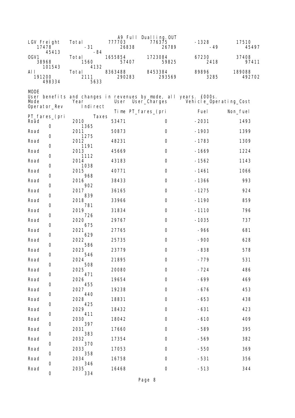| LGV Freight<br>17478                         | Total<br>$-31$               | 777703<br>26838   | A9 Full Dualling. OUT<br>776375<br>26789                                              | $-1328$<br>$-49$       | 17510<br>45497   |
|----------------------------------------------|------------------------------|-------------------|---------------------------------------------------------------------------------------|------------------------|------------------|
| 45413<br>OGV <sub>1</sub><br>38968<br>101543 | -84<br>Total<br>1560<br>4132 | 1655854<br>57407  | 1723084<br>59825                                                                      | 67230<br>2418          | 37408<br>97411   |
| AI I<br>191200<br>498334                     | Total<br>2111<br>5633        | 8363488<br>290283 | 8453384<br>293569                                                                     | 89896<br>3285          | 189088<br>492702 |
| <b>MODE</b><br>Mode                          | Year<br>Indi rect            |                   | User benefits and changes in revenues by mode, all years. £000s.<br>User User_Charges | Vehicle_Operating_Cost |                  |
| Operator_Rev                                 |                              |                   | Time PT_fares_(pri                                                                    | Fuel                   | Non_fuel         |
| PT_fares_(pri<br>Road                        | Taxes<br>2010                | 53471             | 0                                                                                     | $-2031$                | 1493             |
| 0<br>Road                                    | 1365<br>2011                 | 50873             | 0                                                                                     | $-1903$                | 1399             |
| 0<br>Road                                    | 1275<br>2012                 | 48231             | 0                                                                                     | $-1783$                | 1309             |
| 0<br>Road                                    | 1191<br>2013                 | 45669             | $\mathbf 0$                                                                           | $-1669$                | 1224             |
| 0<br>Road                                    | 1112<br>2014                 | 43183             | $\mathbf 0$                                                                           | $-1562$                | 1143             |
| 0<br>Road                                    | 1038<br>2015                 | 40771             | 0                                                                                     | $-1461$                | 1066             |
| 0<br>Road                                    | 968<br>2016                  | 38433             | $\boldsymbol{0}$                                                                      | $-1366$                | 993              |
| 0<br>Road                                    | 902<br>2017                  | 36165             | $\mathbf 0$                                                                           | $-1275$                | 924              |
| 0<br>Road                                    | 839<br>2018                  | 33966             | 0                                                                                     | $-1190$                | 859              |
| 0<br>Road                                    | 781<br>2019                  | 31834             | $\boldsymbol{0}$                                                                      | $-1110$                | 796              |
| 0<br>Road                                    | 726<br>2020                  | 29767             | $\mathbf 0$                                                                           | $-1035$                | 737              |
| 0<br>Road                                    | 675<br>2021                  | 27765             | 0                                                                                     | $-966$                 | 681              |
| 0<br>Road                                    | 629<br>2022                  | 25735             | $\mathbf 0$                                                                           | $-900$                 | 628              |
| 0<br>Road                                    | 586<br>2023                  | 23779             | $\boldsymbol{0}$                                                                      | $-838$                 | 578              |
| 0<br>Road                                    | 546<br>2024                  | 21895             | 0                                                                                     | $-779$                 | 531              |
| 0<br>Road                                    | 508<br>2025                  | 20080             | $\boldsymbol{0}$                                                                      | $-724$                 | 486              |
| 0<br>Road                                    | 471<br>2026                  | 19654             | $\mbox{O}$                                                                            | $-699$                 | 469              |
| 0<br>Road                                    | 455<br>2027                  | 19238             | 0                                                                                     | $-676$                 | 453              |
| 0<br>Road                                    | 440<br>2028                  | 18831             | 0                                                                                     | $-653$                 | 438              |
| 0<br>Road                                    | 425<br>2029                  | 18432             | 0                                                                                     | $-631$                 | 423              |
| 0<br>Road                                    | 411<br>2030                  | 18042             | 0                                                                                     | $-610$                 | 409              |
| 0<br>Road                                    | 397<br>2031                  | 17660             | 0                                                                                     | $-589$                 | 395              |
| 0                                            | 383                          |                   |                                                                                       |                        |                  |
| Road<br>0                                    | 2032<br>370                  | 17354             | 0                                                                                     | $-569$                 | 382              |
| Road<br>0                                    | 2033<br>358                  | 17053             | 0                                                                                     | $-550$                 | 369              |
| Road<br>0                                    | 2034<br>346                  | 16758             | 0                                                                                     | $-531$                 | 356              |
| Road<br>0                                    | 2035<br>334                  | 16468             | 0                                                                                     | $-513$                 | 344              |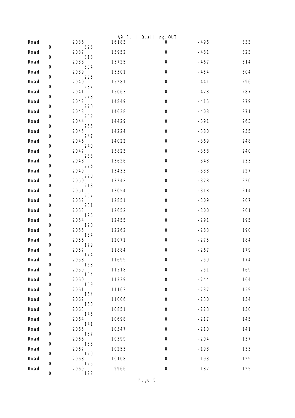|      |             |             |       | A9 Full Dualling. OUT |        |     |
|------|-------------|-------------|-------|-----------------------|--------|-----|
| Road | $\mathbf 0$ | 2036<br>323 | 16183 | O                     | $-496$ | 333 |
| Road | 0           | 2037<br>313 | 15952 | $\mathbf 0$           | $-481$ | 323 |
| Road | 0           | 2038<br>304 | 15725 | $\boldsymbol{0}$      | $-467$ | 314 |
| Road | 0           | 2039<br>295 | 15501 | 0                     | $-454$ | 304 |
| Road | 0           | 2040<br>287 | 15281 | $\mathsf{O}\xspace$   | $-441$ | 296 |
| Road | 0           | 2041<br>278 | 15063 | $\boldsymbol{0}$      | $-428$ | 287 |
| Road | 0           | 2042<br>270 | 14849 | $\mathbf 0$           | $-415$ | 279 |
| Road |             | 2043        | 14638 | $\mathsf{O}\xspace$   | $-403$ | 271 |
| Road | 0           | 262<br>2044 | 14429 | $\boldsymbol{0}$      | $-391$ | 263 |
| Road | 0           | 255<br>2045 | 14224 | $\mathbf 0$           | $-380$ | 255 |
| Road | 0           | 247<br>2046 | 14022 | $\mathsf{O}\xspace$   | $-369$ | 248 |
| Road | 0           | 240<br>2047 | 13823 | $\boldsymbol{0}$      | $-358$ | 240 |
| Road | 0           | 233<br>2048 | 13626 | $\boldsymbol{0}$      | $-348$ | 233 |
| Road | 0           | 226<br>2049 | 13433 | $\mathsf{O}\xspace$   | $-338$ | 227 |
| Road | 0           | 220<br>2050 | 13242 | 0                     | $-328$ | 220 |
| Road | 0           | 213<br>2051 | 13054 | $\boldsymbol{0}$      | $-318$ | 214 |
| Road | 0           | 207<br>2052 | 12851 | $\mathsf{O}\xspace$   | $-309$ | 207 |
| Road | 0           | 201<br>2053 | 12652 | 0                     | $-300$ | 201 |
| Road | 0           | 195<br>2054 | 12455 | $\boldsymbol{0}$      | $-291$ | 195 |
| Road | 0           | 190<br>2055 | 12262 | $\mathsf{O}\xspace$   | $-283$ | 190 |
| Road | 0           | 184<br>2056 | 12071 | $\boldsymbol{0}$      | $-275$ | 184 |
| Road | 0           | 179<br>2057 | 11884 | 0                     | $-267$ | 179 |
| Road | 0           | 174<br>2058 | 11699 | 0                     | $-259$ | 174 |
| Road | 0           | 168<br>2059 | 11518 | $\mathsf{O}\xspace$   | $-251$ | 169 |
| Road | 0           | 164<br>2060 | 11339 | 0                     | $-244$ | 164 |
| Road | 0           | 159<br>2061 | 11163 | 0                     | $-237$ | 159 |
| Road | 0           | 154<br>2062 | 11006 | 0                     | $-230$ | 154 |
| Road | 0           | 150<br>2063 | 10851 | $\boldsymbol{0}$      | $-223$ | 150 |
| Road | 0           | 145<br>2064 | 10698 | 0                     | $-217$ | 145 |
| Road | 0           | 141<br>2065 | 10547 | 0                     | $-210$ | 141 |
| Road | 0           | 137<br>2066 | 10399 | $\boldsymbol{0}$      | $-204$ | 137 |
| Road | 0           | 133<br>2067 | 10253 | 0                     | $-198$ | 133 |
| Road | 0           | 129<br>2068 | 10108 | $\mathsf{O}\xspace$   | $-193$ | 129 |
| Road | 0           | 125<br>2069 | 9966  | 0                     | $-187$ | 125 |
|      | 0           | 122         |       |                       |        |     |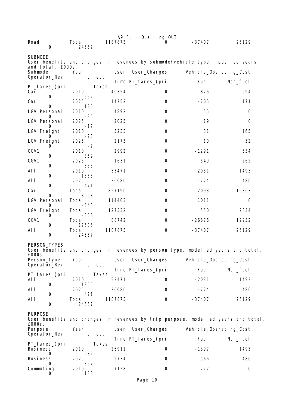| A9 Full Dualling. OUT        |                         |         |                    |          |                                                                                  |
|------------------------------|-------------------------|---------|--------------------|----------|----------------------------------------------------------------------------------|
| Road<br>0                    | Total<br>24557          | 1187873 | O                  | $-37407$ | 26129                                                                            |
| <b>SUBMODE</b>               |                         |         |                    |          | User benefits and changes in revenues by submode/vehicle type, modelled years    |
| and total. £000s.<br>Submode | Year                    | User    | User_Charges       |          | Vehicle_Operating_Cost                                                           |
| Operator_Rev                 | Indirect                |         | Time PT_fares_(pri | Fuel     | Non_fuel                                                                         |
| PT_fares_(pri<br>Car         | Taxes<br>2010           | 40354   | 0                  | $-826$   | 694                                                                              |
| 0<br>Car                     | 562<br>2025             | 14252   | 0                  | $-205$   | 171                                                                              |
| O<br>LGV Personal            | 135<br>2010             | 4892    | 0                  | 55       | 0                                                                                |
| O<br>LGV Personal            | -36<br>2025             | 2025    | 0                  | 19       | 0                                                                                |
| LGV Freight                  | -12<br>2010             | 5233    | 0                  | 31       | 165                                                                              |
| LGV Freight<br>0             | -20<br>2025<br>$-7$     | 2173    | 0                  | 10       | 52                                                                               |
| OGV1                         | 2010                    | 2992    | 0                  | $-1291$  | 634                                                                              |
| 0<br>OGV1<br>0               | 859<br>2025<br>355      | 1631    | 0                  | $-549$   | 262                                                                              |
| AI I                         | 2010                    | 53471   | 0                  | $-2031$  | 1493                                                                             |
| 0<br>AI I                    | 1365<br>2025            | 20080   | 0                  | $-724$   | 486                                                                              |
| 0<br>Car                     | 471<br>Total            | 857196  | 0                  | $-12093$ | 10363                                                                            |
| 0<br>LGV Personal            | 8058<br>Total           | 114403  | 0                  | 1011     | 0                                                                                |
| O<br>LGV Freight             | $-648$<br>Total         | 127532  | 0                  | 550      | 2834                                                                             |
| O<br>OGV1                    | $-358$<br>Total         | 88742   | $\Omega$           | $-26876$ | 12932                                                                            |
| 0<br>AI I<br>$\mathbf 0$     | 17505<br>Total<br>24557 | 1187873 | 0                  | $-37407$ | 26129                                                                            |
| PERSON_TYPES                 |                         |         |                    |          |                                                                                  |
| E000s                        |                         |         |                    |          | User benefits and changes in revenues by person type, modelled years and total.  |
| Person_type<br>Operator_Rev  | Year<br>Indirect        | User    | User_Charges       |          | Vehicle_Operating_Cost                                                           |
| PT_fares_(pri                | Taxes                   |         | Time PT_fares_(pri | Fuel     | Non_fuel                                                                         |
| Al I<br>0                    | 2010<br>1365            | 53471   | 0                  | $-2031$  | 1493                                                                             |
| AI I<br>0                    | 2025<br>471             | 20080   | 0                  | $-724$   | 486                                                                              |
| AI I<br>0                    | Total<br>24557          | 1187873 | 0                  | $-37407$ | 26129                                                                            |
| <b>PURPOSE</b>               |                         |         |                    |          | User benefits and changes in revenues by trip purpose, modelled years and total. |
| £000s.                       |                         |         |                    |          |                                                                                  |
| Purpose<br>Operator_Rev      | Year<br>Indirect        | User    | User_Charges       |          | Vehicle_Operating_Cost                                                           |
| PT_fares_(pri                | Taxes                   |         | Time PT_fares_(pri | Fuel     | Non_fuel                                                                         |
| <b>Business</b><br>0         | 2010<br>932             | 26911   | 0                  | $-1397$  | 1493                                                                             |
| Busi ness<br>0               | 2025<br>367             | 9734    | 0                  | -566     | 486                                                                              |
| Commuting<br>0               | 2010<br>188             | 7128    | 0                  | $-277$   | 0                                                                                |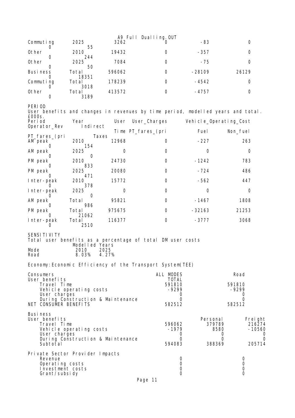|                                            |                                   |               | A9 Full Dualling. OUT                                      |                   |                                                                                 |
|--------------------------------------------|-----------------------------------|---------------|------------------------------------------------------------|-------------------|---------------------------------------------------------------------------------|
| Commuting<br>Ü                             | 2025<br>55                        | 3262          | O.                                                         | $-83$             | 0                                                                               |
| Other<br>0                                 | 2010<br>244                       | 19432         | 0                                                          | $-357$            | 0                                                                               |
| Other<br>0                                 | 2025<br>50                        | 7084          | 0                                                          | $-75$             | 0                                                                               |
| <b>Business</b>                            | Total                             | 596062        | 0                                                          | $-28109$          | 26129                                                                           |
| O<br>Commuting                             | 18351<br>Total                    | 178239        | 0                                                          | $-4542$           | 0                                                                               |
| 0<br>0ther<br>0                            | 3018<br>Total<br>3189             | 413572        | 0                                                          | -4757             | 0                                                                               |
| PERIOD<br>£000s.                           |                                   |               |                                                            |                   | User benefits and changes in revenues by time period, modelled years and total. |
| Peri od<br>Operator_Rev                    | Year<br>Indirect                  | User          | User_Charges                                               |                   | Vehicle_Operating_Cost                                                          |
| PT_fares_(pri                              | Taxes                             |               | Time PT_fares_(pri                                         | Fuel              | Non_fuel                                                                        |
| AM peak<br>O                               | 2010<br>154                       | 12968         | 0                                                          | $-227$            | 263                                                                             |
| AM peak<br>O                               | 2025<br>0                         | 0             | 0                                                          | 0                 | 0                                                                               |
| PM peak                                    | 2010                              | 24730         | 0                                                          | $-1242$           | 783                                                                             |
| O<br>PM peak                               | 833<br>2025                       | 20080         | 0                                                          | $-724$            | 486                                                                             |
| O<br>Inter-peak                            | 471<br>2010<br>378                | 15772         | 0                                                          | $-562$            | 447                                                                             |
| $\mathbf{0}$<br>Inter-peak                 | 2025                              | 0             | 0                                                          | 0                 | 0                                                                               |
| 0<br>AM peak                               | 0<br>Total                        | 95821         | 0                                                          | $-1467$           | 1808                                                                            |
| O<br>PM peak                               | 986<br>Total                      | 975675        | 0                                                          | $-32163$          | 21253                                                                           |
| $\mathbf{0}$<br>Inter-peak<br>O            | 21062<br>Total<br>2510            | 116377        | 0                                                          | -3777             | 3068                                                                            |
| SENSI TI VI TY                             | Modelled Years                    |               | Total user benefits as a percentage of total DM user costs |                   |                                                                                 |
| Mode<br>Road                               | 2010<br>8.03%                     | 2025<br>4.27% |                                                            |                   |                                                                                 |
|                                            |                                   |               | Economy: Economic Efficiency of the Transport System(TEE)  |                   |                                                                                 |
| Consumers<br>User benefits                 |                                   |               | ALL MODES                                                  | <b>TOTAL</b>      | Road                                                                            |
| Travel Time                                | Vehicle operating costs           |               |                                                            | 591810<br>$-9299$ | 591810<br>$-9299$                                                               |
| User charges                               | During Construction & Maintenance |               |                                                            | 0<br>0            | 0<br>0                                                                          |
| NET CONSUMER BENEFITS                      |                                   |               |                                                            | 582512            | 582512                                                                          |
| <b>Business</b><br>User benefits           |                                   |               |                                                            |                   | Personal<br>Frei ght                                                            |
| Travel Time                                | Vehicle operating costs           |               |                                                            | 596062<br>$-1979$ | 379789<br>216274<br>8580<br>$-10560$                                            |
| User charges                               | During Construction & Maintenance |               |                                                            | 0<br>0            | 0<br>O<br>0<br>0                                                                |
| Subtotal                                   |                                   |               |                                                            | 594083            | 388369<br>205714                                                                |
| Private Sector Provider Impacts<br>Revenue |                                   |               |                                                            | 0                 | 0                                                                               |
| Operating costs<br>Investment costs        |                                   |               |                                                            | 0<br>0            | 0<br>$\boldsymbol{0}$                                                           |
| Grant/subsidy                              |                                   |               |                                                            | 0                 | $\Omega$                                                                        |

Page 11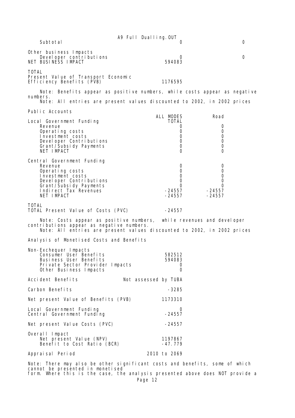|                                                                                                                                                                                              | A9 Full Dualling. OUT |                                                                       |                                               |  |  |
|----------------------------------------------------------------------------------------------------------------------------------------------------------------------------------------------|-----------------------|-----------------------------------------------------------------------|-----------------------------------------------|--|--|
| Subtotal                                                                                                                                                                                     |                       | $\mathbf{0}$                                                          | 0                                             |  |  |
| Other business Impacts<br>Devel oper contributions<br>NET BUSINESS IMPACT                                                                                                                    |                       | $\Omega$<br>594083                                                    | 0                                             |  |  |
| <b>TOTAL</b><br>Present Value of Transport Economic<br>Efficiency Benefits (PVB)                                                                                                             |                       | 1176595                                                               |                                               |  |  |
| Note: Benefits appear as positive numbers, while costs appear as negative<br>numbers.<br>Note: All entries are present values discounted to 2002, in 2002 prices                             |                       |                                                                       |                                               |  |  |
| Public Accounts                                                                                                                                                                              |                       |                                                                       |                                               |  |  |
| Local Government Funding<br>Revenue<br>Operating costs<br>Investment costs<br>Devel oper Contributions<br>Grant/Subsidy Payments<br>NET IMPACT                                               | ALL MODES             | <b>TOTAL</b><br>0<br>0<br>0<br>$\mathbf 0$<br>$\mathbf 0$<br>$\Omega$ | Road<br>0<br>0<br>0<br>0<br>0<br>$\Omega$     |  |  |
| Central Government Funding<br>Revenue<br>Operating costs<br>Investment costs<br>Devel oper Contributions<br>Grant/Subsidy Payments<br>Indi rect Tax Revenues<br>NET IMPACT                   |                       | 0<br>0<br>0<br>0<br>0<br>$-24557$<br>-24557                           | 0<br>0<br>0<br>0<br>0<br>$-24557$<br>$-24557$ |  |  |
| <b>TOTAL</b><br>TOTAL Present Value of Costs (PVC)                                                                                                                                           |                       | $-24557$                                                              |                                               |  |  |
| Note: Costs appear as positive numbers, while revenues and developer<br>contributions appear as negative numbers.<br>Note: All entries are present values discounted to 2002, in 2002 prices |                       |                                                                       |                                               |  |  |
| Analysis of Monetised Costs and Benefits                                                                                                                                                     |                       |                                                                       |                                               |  |  |
| Non-Exchequer Impacts<br>Consumer User Benefits<br>Business User Benefits<br>Private Sector Provider Impacts<br>Other Business Impacts                                                       |                       | 582512<br>594083<br>O<br>0                                            |                                               |  |  |
| Accident Benefits<br>Not assessed by TUBA                                                                                                                                                    |                       |                                                                       |                                               |  |  |
| Carbon Benefits                                                                                                                                                                              |                       | $-3285$                                                               |                                               |  |  |
| Net present Value of Benefits (PVB)                                                                                                                                                          |                       | 1173310                                                               |                                               |  |  |
| Local Government Funding<br>Central Government Funding                                                                                                                                       |                       | O<br>$-24557$                                                         |                                               |  |  |
| Net present Value Costs (PVC)                                                                                                                                                                |                       | -24557                                                                |                                               |  |  |
| Overall Impact<br>Net present Value (NPV)<br>Benefit to Cost Ratio (BCR)                                                                                                                     |                       | 1197867<br>$-47.779$                                                  |                                               |  |  |
| Appraisal Period                                                                                                                                                                             | 2010 to 2069          |                                                                       |                                               |  |  |
| Note: There may also be other significant costs and benefits, some of which                                                                                                                  |                       |                                                                       |                                               |  |  |

cannot be presented in monetised form. Where this is the case, the analysis presented above does NOT provide a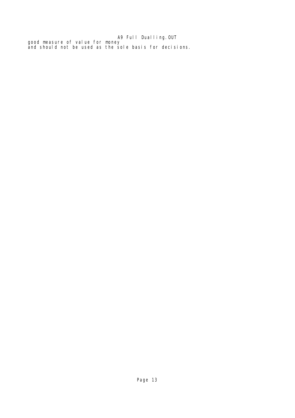#### A9 Full Dualling.OUT good measure of value for money and should not be used as the sole basis for decisions.